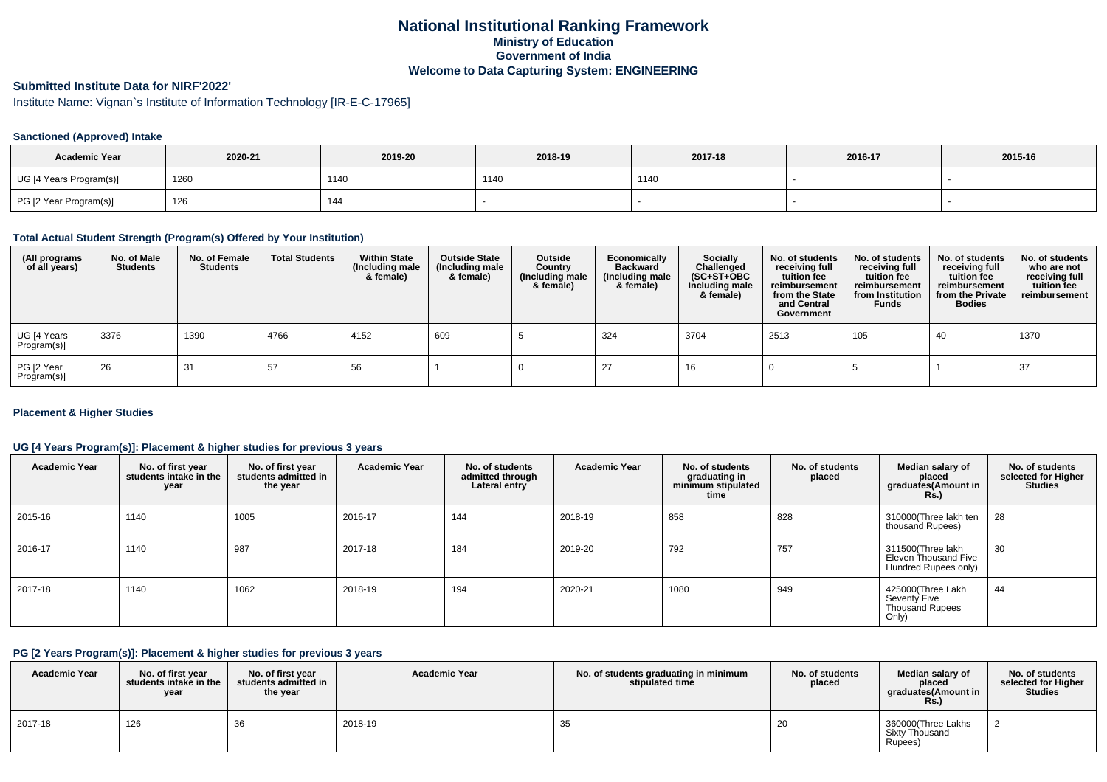## **National Institutional Ranking FrameworkMinistry of Education Government of IndiaWelcome to Data Capturing System: ENGINEERING**

# **Submitted Institute Data for NIRF'2022'**

Institute Name: Vignan`s Institute of Information Technology [IR-E-C-17965]

## **Sanctioned (Approved) Intake**

| <b>Academic Year</b>    | 2020-21 | 2019-20 | 2018-19 | 2017-18 | 2016-17 | 2015-16 |
|-------------------------|---------|---------|---------|---------|---------|---------|
| UG [4 Years Program(s)] | 1260    | 1140    | 1140    | 1140    |         |         |
| PG [2 Year Program(s)]  | 126     | 144     |         |         |         |         |

#### **Total Actual Student Strength (Program(s) Offered by Your Institution)**

| (All programs<br>of all years) | No. of Male<br><b>Students</b> | No. of Female<br><b>Students</b> | <b>Total Students</b> | <b>Within State</b><br>(Including male<br>& female) | <b>Outside State</b><br>(Including male<br>& female) | Outside<br>Country<br>(Including male<br>& female) | Economically<br><b>Backward</b><br>(Including male<br>& female) | Socially<br>Challenged<br>$(SC+ST+OBC)$<br>Including male<br>& female) | No. of students<br>receiving full<br>tuition fee<br>reimbursement<br>from the State<br>and Central<br>Government | No. of students<br>receiving full<br>tuition fee<br>reimbursement<br>from Institution<br><b>Funds</b> | No. of students<br>receiving full<br>tuition fee<br>reimbursement<br>from the Private<br><b>Bodies</b> | No. of students<br>who are not<br>receiving full<br>tuition fee<br>reimbursement |
|--------------------------------|--------------------------------|----------------------------------|-----------------------|-----------------------------------------------------|------------------------------------------------------|----------------------------------------------------|-----------------------------------------------------------------|------------------------------------------------------------------------|------------------------------------------------------------------------------------------------------------------|-------------------------------------------------------------------------------------------------------|--------------------------------------------------------------------------------------------------------|----------------------------------------------------------------------------------|
| UG [4 Years<br>Program(s)]     | 3376                           | 1390                             | 4766                  | 4152                                                | 609                                                  |                                                    | 324                                                             | 3704                                                                   | 2513                                                                                                             | 105                                                                                                   | 40                                                                                                     | 1370                                                                             |
| PG [2 Year<br>Program(s)]      | 26                             | 31                               | 57                    | 56                                                  |                                                      |                                                    | 27                                                              | 16                                                                     |                                                                                                                  |                                                                                                       |                                                                                                        | 37                                                                               |

### **Placement & Higher Studies**

### **UG [4 Years Program(s)]: Placement & higher studies for previous 3 years**

| <b>Academic Year</b> | No. of first year<br>students intake in the<br>year | No. of first vear<br>students admitted in<br>the year | <b>Academic Year</b> | No. of students<br>admitted through<br>Lateral entry | <b>Academic Year</b> | No. of students<br>graduating in<br>minimum stipulated<br>time | No. of students<br>placed | Median salary of<br>placed<br>graduates(Amount in<br><b>Rs.)</b>             | No. of students<br>selected for Higher<br><b>Studies</b> |
|----------------------|-----------------------------------------------------|-------------------------------------------------------|----------------------|------------------------------------------------------|----------------------|----------------------------------------------------------------|---------------------------|------------------------------------------------------------------------------|----------------------------------------------------------|
| 2015-16              | 1140                                                | 1005                                                  | 2016-17              | 144                                                  | 2018-19              | 858                                                            | 828                       | 310000(Three lakh ten<br>thousand Rupees)                                    | 28                                                       |
| 2016-17              | 1140                                                | 987                                                   | 2017-18              | 184                                                  | 2019-20              | 792                                                            | 757                       | 311500(Three lakh<br>Eleven Thousand Five<br>Hundred Rupees only)            | 30                                                       |
| 2017-18              | 1140                                                | 1062                                                  | 2018-19              | 194                                                  | 2020-21              | 1080                                                           | 949                       | 425000 (Three Lakh<br><b>Seventy Five</b><br><b>Thousand Rupees</b><br>Only) | 44                                                       |

#### **PG [2 Years Program(s)]: Placement & higher studies for previous 3 years**

| <b>Academic Year</b> | No. of first vear<br>students intake in the<br>year | No. of first vear<br>students admitted in<br>the year | <b>Academic Year</b> | No. of students graduating in minimum<br>stipulated time | No. of students<br>placed | Median salary of<br>placed<br>graduates(Amount in<br><b>Rs.)</b> | No. of students<br>selected for Higher<br><b>Studies</b> |
|----------------------|-----------------------------------------------------|-------------------------------------------------------|----------------------|----------------------------------------------------------|---------------------------|------------------------------------------------------------------|----------------------------------------------------------|
| 2017-18              | 126                                                 | ັບບ                                                   | 2018-19              | 35                                                       | zu                        | 360000(Three Lakhs<br>Sixty Thousand<br>Rupees)                  |                                                          |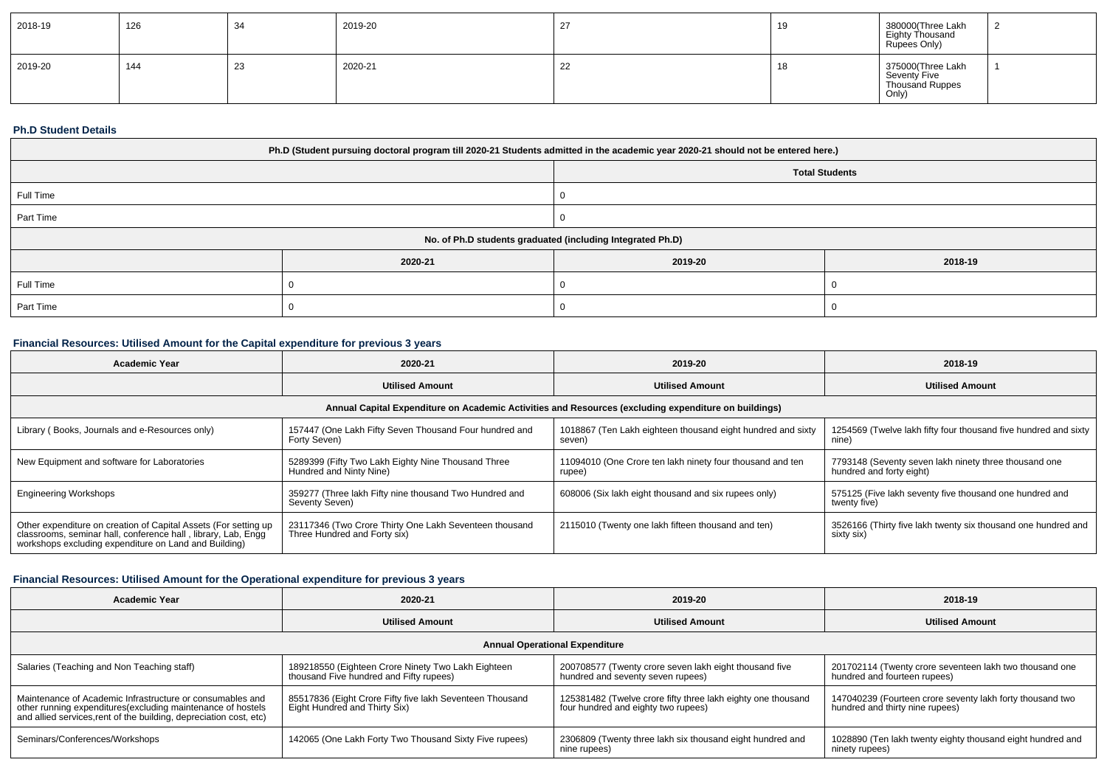| 2018-19 | 126 | -34 | 2019-20 |     | - 10 | 380000(Three Lakh<br>Eighty Thousand<br>Rupees Only)          |  |
|---------|-----|-----|---------|-----|------|---------------------------------------------------------------|--|
| 2019-20 | 144 | 23  | 2020-21 | -44 | . .  | 375000(Three Lakh<br>Seventy Five<br>Thousand Ruppes<br>Only) |  |

### **Ph.D Student Details**

| Ph.D (Student pursuing doctoral program till 2020-21 Students admitted in the academic year 2020-21 should not be entered here.) |         |         |         |  |  |
|----------------------------------------------------------------------------------------------------------------------------------|---------|---------|---------|--|--|
| <b>Total Students</b>                                                                                                            |         |         |         |  |  |
| Full Time                                                                                                                        |         |         |         |  |  |
| Part Time                                                                                                                        |         |         |         |  |  |
| No. of Ph.D students graduated (including Integrated Ph.D)                                                                       |         |         |         |  |  |
|                                                                                                                                  | 2020-21 | 2019-20 | 2018-19 |  |  |
| Full Time                                                                                                                        |         |         |         |  |  |
| Part Time                                                                                                                        |         |         |         |  |  |

## **Financial Resources: Utilised Amount for the Capital expenditure for previous 3 years**

| <b>Academic Year</b>                                                                                                                                                                      | 2020-21                                                                                | 2019-20                                                               | 2018-19                                                                           |  |  |  |  |
|-------------------------------------------------------------------------------------------------------------------------------------------------------------------------------------------|----------------------------------------------------------------------------------------|-----------------------------------------------------------------------|-----------------------------------------------------------------------------------|--|--|--|--|
|                                                                                                                                                                                           | <b>Utilised Amount</b>                                                                 | <b>Utilised Amount</b>                                                | <b>Utilised Amount</b>                                                            |  |  |  |  |
| Annual Capital Expenditure on Academic Activities and Resources (excluding expenditure on buildings)                                                                                      |                                                                                        |                                                                       |                                                                                   |  |  |  |  |
| Library (Books, Journals and e-Resources only)                                                                                                                                            | 157447 (One Lakh Fifty Seven Thousand Four hundred and<br>Forty Seven)                 | 1018867 (Ten Lakh eighteen thousand eight hundred and sixty<br>seven) | 1254569 (Twelve lakh fifty four thousand five hundred and sixty<br>nine)          |  |  |  |  |
| New Equipment and software for Laboratories                                                                                                                                               | 5289399 (Fifty Two Lakh Eighty Nine Thousand Three<br>Hundred and Ninty Nine)          | 11094010 (One Crore ten lakh ninety four thousand and ten<br>rupee)   | 7793148 (Seventy seven lakh ninety three thousand one<br>hundred and forty eight) |  |  |  |  |
| <b>Engineering Workshops</b>                                                                                                                                                              | 359277 (Three lakh Fifty nine thousand Two Hundred and<br>Seventy Seven)               | 608006 (Six lakh eight thousand and six rupees only)                  | 575125 (Five lakh seventy five thousand one hundred and<br>twenty five)           |  |  |  |  |
| Other expenditure on creation of Capital Assets (For setting up<br>classrooms, seminar hall, conference hall, library, Lab, Engg<br>workshops excluding expenditure on Land and Building) | 23117346 (Two Crore Thirty One Lakh Seventeen thousand<br>Three Hundred and Forty six) | 2115010 (Twenty one lakh fifteen thousand and ten)                    | 3526166 (Thirty five lakh twenty six thousand one hundred and<br>sixty six)       |  |  |  |  |

# **Financial Resources: Utilised Amount for the Operational expenditure for previous 3 years**

| <b>Academic Year</b>                                                                                                                                                                            | 2020-21                                                                                       | 2019-20                                                                                             | 2018-19                                                                                      |  |  |  |  |  |
|-------------------------------------------------------------------------------------------------------------------------------------------------------------------------------------------------|-----------------------------------------------------------------------------------------------|-----------------------------------------------------------------------------------------------------|----------------------------------------------------------------------------------------------|--|--|--|--|--|
|                                                                                                                                                                                                 | <b>Utilised Amount</b>                                                                        | <b>Utilised Amount</b>                                                                              | <b>Utilised Amount</b>                                                                       |  |  |  |  |  |
| <b>Annual Operational Expenditure</b>                                                                                                                                                           |                                                                                               |                                                                                                     |                                                                                              |  |  |  |  |  |
| Salaries (Teaching and Non Teaching staff)                                                                                                                                                      | 189218550 (Eighteen Crore Ninety Two Lakh Eighteen<br>thousand Five hundred and Fifty rupees) | 200708577 (Twenty crore seven lakh eight thousand five<br>hundred and seventy seven rupees)         | 201702114 (Twenty crore seventeen lakh two thousand one<br>hundred and fourteen rupees)      |  |  |  |  |  |
| Maintenance of Academic Infrastructure or consumables and<br>other running expenditures (excluding maintenance of hostels<br>and allied services, rent of the building, depreciation cost, etc) | 85517836 (Eight Crore Fifty five lakh Seventeen Thousand<br>Eight Hundred and Thirty Six)     | 125381482 (Twelve crore fifty three lakh eighty one thousand<br>four hundred and eighty two rupees) | 147040239 (Fourteen crore seventy lakh forty thousand two<br>hundred and thirty nine rupees) |  |  |  |  |  |
| Seminars/Conferences/Workshops                                                                                                                                                                  | 142065 (One Lakh Forty Two Thousand Sixty Five rupees)                                        | 2306809 (Twenty three lakh six thousand eight hundred and<br>nine rupees)                           | 1028890 (Ten lakh twenty eighty thousand eight hundred and<br>ninety rupees)                 |  |  |  |  |  |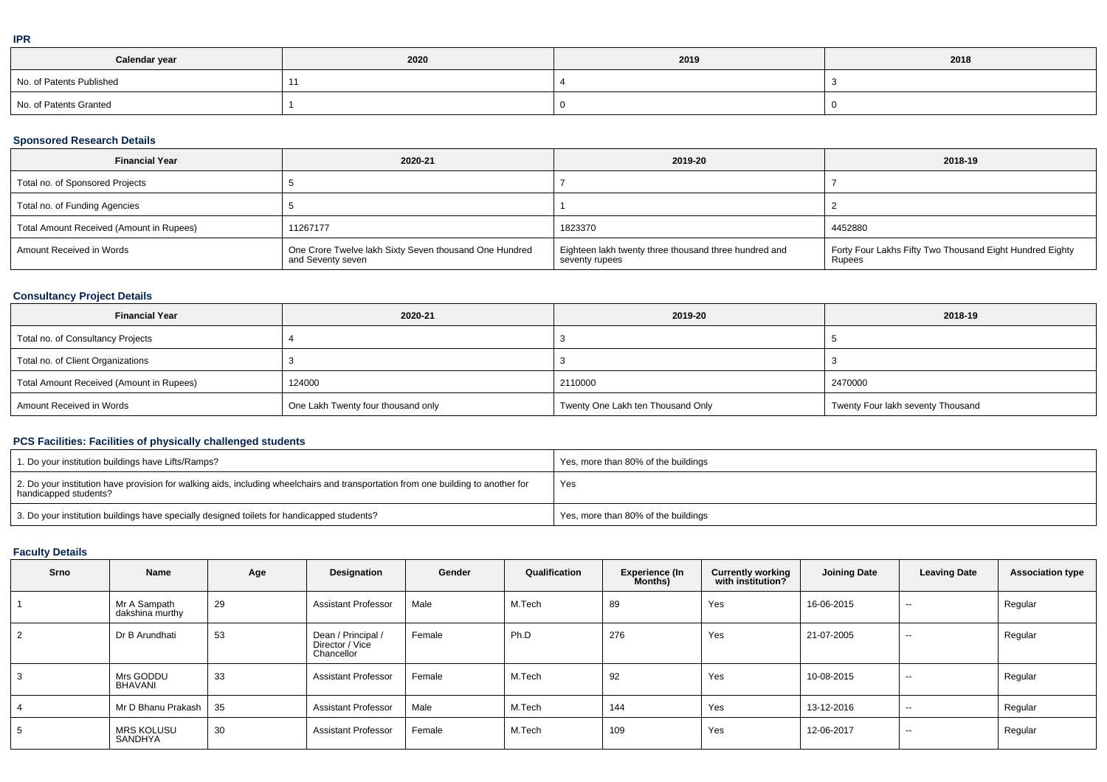| Calendar year            | 2020 | 2019 | 2018 |
|--------------------------|------|------|------|
| No. of Patents Published |      |      |      |
| No. of Patents Granted   |      |      |      |

### **Sponsored Research Details**

| <b>Financial Year</b>                    | 2020-21                                                                     | 2019-20                                                                 | 2018-19                                                            |
|------------------------------------------|-----------------------------------------------------------------------------|-------------------------------------------------------------------------|--------------------------------------------------------------------|
| Total no. of Sponsored Projects          |                                                                             |                                                                         |                                                                    |
| Total no. of Funding Agencies            |                                                                             |                                                                         |                                                                    |
| Total Amount Received (Amount in Rupees) | 11267177                                                                    | 1823370                                                                 | 4452880                                                            |
| Amount Received in Words                 | One Crore Twelve lakh Sixty Seven thousand One Hundred<br>and Seventy seven | Eighteen lakh twenty three thousand three hundred and<br>seventy rupees | Forty Four Lakhs Fifty Two Thousand Eight Hundred Eighty<br>Rupees |

## **Consultancy Project Details**

| <b>Financial Year</b>                    | 2020-21                            | 2019-20                           | 2018-19                           |
|------------------------------------------|------------------------------------|-----------------------------------|-----------------------------------|
| Total no. of Consultancy Projects        |                                    |                                   |                                   |
| Total no. of Client Organizations        |                                    |                                   |                                   |
| Total Amount Received (Amount in Rupees) | 124000                             | 2110000                           | 2470000                           |
| Amount Received in Words                 | One Lakh Twenty four thousand only | Twenty One Lakh ten Thousand Only | Twenty Four lakh seventy Thousand |

## **PCS Facilities: Facilities of physically challenged students**

| 1. Do your institution buildings have Lifts/Ramps?                                                                                                         | Yes, more than 80% of the buildings |
|------------------------------------------------------------------------------------------------------------------------------------------------------------|-------------------------------------|
| 2. Do your institution have provision for walking aids, including wheelchairs and transportation from one building to another for<br>handicapped students? | Yes                                 |
| 3. Do your institution buildings have specially designed toilets for handicapped students?                                                                 | Yes, more than 80% of the buildings |

## **Faculty Details**

| Srno           | Name                            | Age | Designation                                         | Gender | Qualification | <b>Experience (In</b><br><b>Months</b> ) | <b>Currently working</b><br>with institution? | <b>Joining Date</b> | <b>Leaving Date</b> | <b>Association type</b> |
|----------------|---------------------------------|-----|-----------------------------------------------------|--------|---------------|------------------------------------------|-----------------------------------------------|---------------------|---------------------|-------------------------|
|                | Mr A Sampath<br>dakshina murthy | 29  | <b>Assistant Professor</b>                          | Male   | M.Tech        | 89                                       | Yes                                           | 16-06-2015          | $- -$               | Regular                 |
| $\overline{2}$ | Dr B Arundhati                  | 53  | Dean / Principal /<br>Director / Vice<br>Chancellor | Female | Ph.D          | 276                                      | Yes                                           | 21-07-2005          | $-$                 | Regular                 |
| 3              | Mrs GODDU<br><b>BHAVANI</b>     | 33  | <b>Assistant Professor</b>                          | Female | M.Tech        | 92                                       | Yes                                           | 10-08-2015          | $\sim$              | Regular                 |
| $\overline{4}$ | Mr D Bhanu Prakash              | 35  | <b>Assistant Professor</b>                          | Male   | M.Tech        | 144                                      | Yes                                           | 13-12-2016          | $\sim$              | Regular                 |
| 5              | MRS KOLUSU<br>SANDHYA           | 30  | <b>Assistant Professor</b>                          | Female | M.Tech        | 109                                      | Yes                                           | 12-06-2017          | $- -$               | Regular                 |

**IPR**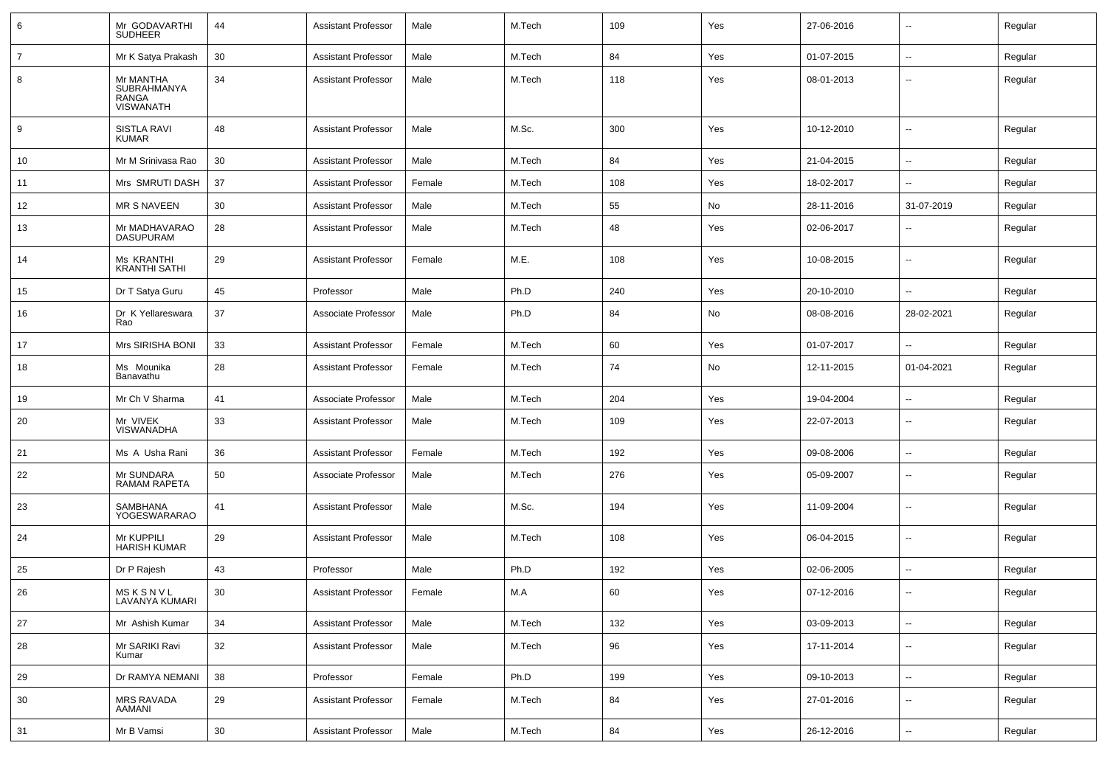| 6              | Mr GODAVARTHI<br>SUDHEER                              | 44 | <b>Assistant Professor</b> | Male   | M.Tech | 109 | Yes | 27-06-2016 |                          | Regular |
|----------------|-------------------------------------------------------|----|----------------------------|--------|--------|-----|-----|------------|--------------------------|---------|
| $\overline{7}$ | Mr K Satya Prakash                                    | 30 | <b>Assistant Professor</b> | Male   | M.Tech | 84  | Yes | 01-07-2015 | $\sim$                   | Regular |
| 8              | Mr MANTHA<br>SUBRAHMANYA<br>RANGA<br><b>VISWANATH</b> | 34 | <b>Assistant Professor</b> | Male   | M.Tech | 118 | Yes | 08-01-2013 | --                       | Regular |
| 9              | SISTLA RAVI<br><b>KUMAR</b>                           | 48 | <b>Assistant Professor</b> | Male   | M.Sc.  | 300 | Yes | 10-12-2010 | −−                       | Regular |
| 10             | Mr M Srinivasa Rao                                    | 30 | <b>Assistant Professor</b> | Male   | M.Tech | 84  | Yes | 21-04-2015 | ⊷.                       | Regular |
| 11             | Mrs SMRUTI DASH                                       | 37 | <b>Assistant Professor</b> | Female | M.Tech | 108 | Yes | 18-02-2017 | --                       | Regular |
| 12             | <b>MR S NAVEEN</b>                                    | 30 | <b>Assistant Professor</b> | Male   | M.Tech | 55  | No  | 28-11-2016 | 31-07-2019               | Regular |
| 13             | Mr MADHAVARAO<br><b>DASUPURAM</b>                     | 28 | <b>Assistant Professor</b> | Male   | M.Tech | 48  | Yes | 02-06-2017 | -−                       | Regular |
| 14             | Ms KRANTHI<br><b>KRANTHI SATHI</b>                    | 29 | <b>Assistant Professor</b> | Female | M.E.   | 108 | Yes | 10-08-2015 | --                       | Regular |
| 15             | Dr T Satya Guru                                       | 45 | Professor                  | Male   | Ph.D   | 240 | Yes | 20-10-2010 | --                       | Regular |
| 16             | Dr K Yellareswara<br>Rao                              | 37 | Associate Professor        | Male   | Ph.D   | 84  | No  | 08-08-2016 | 28-02-2021               | Regular |
| 17             | <b>Mrs SIRISHA BONI</b>                               | 33 | <b>Assistant Professor</b> | Female | M.Tech | 60  | Yes | 01-07-2017 |                          | Regular |
| 18             | Ms Mounika<br>Banavathu                               | 28 | <b>Assistant Professor</b> | Female | M.Tech | 74  | No  | 12-11-2015 | 01-04-2021               | Regular |
| 19             | Mr Ch V Sharma                                        | 41 | Associate Professor        | Male   | M.Tech | 204 | Yes | 19-04-2004 | $\sim$                   | Regular |
| -20            | Mr VIVEK<br>VISWANADHA                                | 33 | <b>Assistant Professor</b> | Male   | M.Tech | 109 | Yes | 22-07-2013 | $\sim$                   | Regular |
| 21             | Ms A Usha Rani                                        | 36 | <b>Assistant Professor</b> | Female | M.Tech | 192 | Yes | 09-08-2006 | ⊷.                       | Regular |
| 22             | Mr SUNDARA<br><b>RAMAM RAPETA</b>                     | 50 | Associate Professor        | Male   | M.Tech | 276 | Yes | 05-09-2007 | −−                       | Regular |
| 23             | SAMBHANA<br>YOGESWARARAO                              | 41 | <b>Assistant Professor</b> | Male   | M.Sc.  | 194 | Yes | 11-09-2004 | --                       | Regular |
| 24             | Mr KUPPILI<br><b>HARISH KUMAR</b>                     | 29 | <b>Assistant Professor</b> | Male   | M.Tech | 108 | Yes | 06-04-2015 | −−                       | Regular |
| 25             | Dr P Rajesh                                           | 43 | Professor                  | Male   | Ph.D   | 192 | Yes | 02-06-2005 | -−                       | Regular |
| 26             | MSKSNVL<br>LAVANYA KUMARI                             | 30 | <b>Assistant Professor</b> | Female | M.A    | 60  | Yes | 07-12-2016 | --                       | Regular |
| 27             | Mr Ashish Kumar                                       | 34 | <b>Assistant Professor</b> | Male   | M.Tech | 132 | Yes | 03-09-2013 | $\sim$                   | Regular |
| 28             | Mr SARIKI Ravi<br>Kumar                               | 32 | <b>Assistant Professor</b> | Male   | M.Tech | 96  | Yes | 17-11-2014 | --                       | Regular |
| 29             | Dr RAMYA NEMANI                                       | 38 | Professor                  | Female | Ph.D   | 199 | Yes | 09-10-2013 | $\overline{\phantom{a}}$ | Regular |
| 30             | MRS RAVADA<br>AAMANI                                  | 29 | <b>Assistant Professor</b> | Female | M.Tech | 84  | Yes | 27-01-2016 | -−                       | Regular |
| 31             | Mr B Vamsi                                            | 30 | <b>Assistant Professor</b> | Male   | M.Tech | 84  | Yes | 26-12-2016 | ⊶.                       | Regular |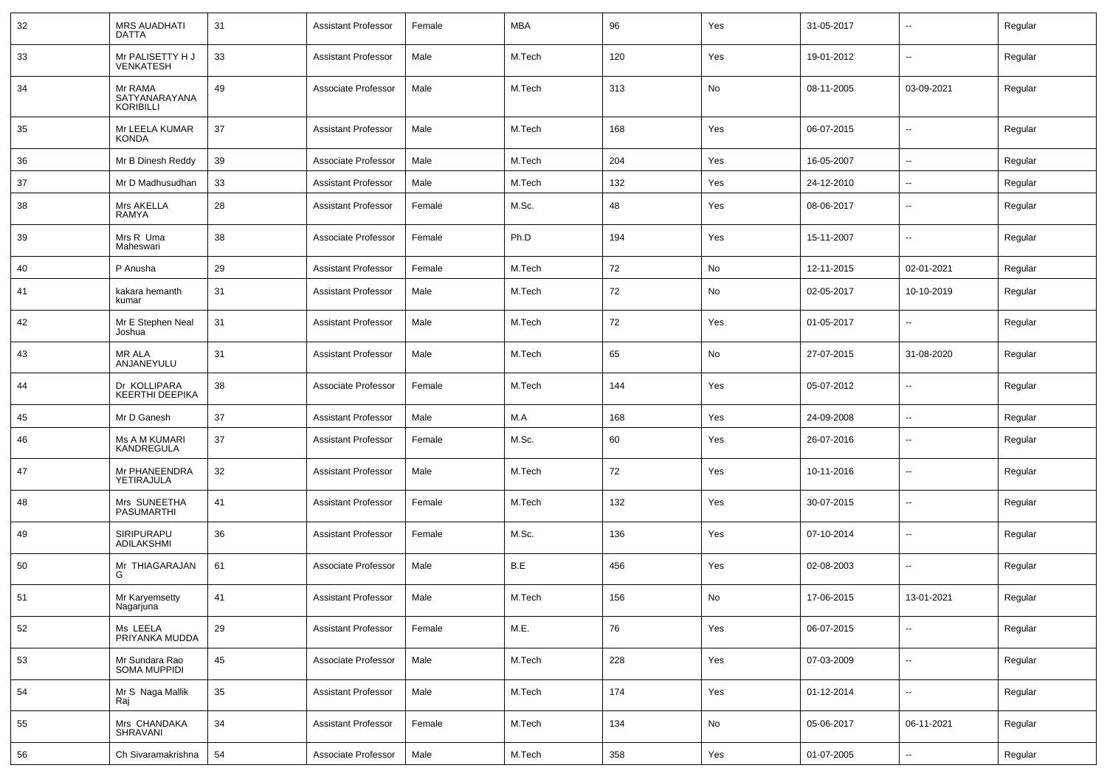| 32 | <b>MRS AUADHATI</b><br><b>DATTA</b>          | 31 | Assistant Professor        | Female | MBA    | 96  | Yes | 31-05-2017 | $\overline{\phantom{a}}$ | Regular |
|----|----------------------------------------------|----|----------------------------|--------|--------|-----|-----|------------|--------------------------|---------|
| 33 | Mr PALISETTY H J<br><b>VENKATESH</b>         | 33 | Assistant Professor        | Male   | M.Tech | 120 | Yes | 19-01-2012 | $\sim$                   | Regular |
| 34 | Mr RAMA<br>SATYANARAYANA<br><b>KORIBILLI</b> | 49 | Associate Professor        | Male   | M.Tech | 313 | No  | 08-11-2005 | 03-09-2021               | Regular |
| 35 | Mr LEELA KUMAR<br><b>KONDA</b>               | 37 | <b>Assistant Professor</b> | Male   | M.Tech | 168 | Yes | 06-07-2015 | $\mathbf{u}$             | Regular |
| 36 | Mr B Dinesh Reddy                            | 39 | Associate Professor        | Male   | M.Tech | 204 | Yes | 16-05-2007 | $\sim$                   | Regular |
| 37 | Mr D Madhusudhan                             | 33 | <b>Assistant Professor</b> | Male   | M.Tech | 132 | Yes | 24-12-2010 | $\sim$                   | Regular |
| 38 | Mrs AKELLA<br>RAMYA                          | 28 | Assistant Professor        | Female | M.Sc.  | 48  | Yes | 08-06-2017 | --                       | Regular |
| 39 | Mrs R Uma<br>Maheswari                       | 38 | Associate Professor        | Female | Ph.D   | 194 | Yes | 15-11-2007 | --                       | Regular |
| 40 | P Anusha                                     | 29 | <b>Assistant Professor</b> | Female | M.Tech | 72  | No  | 12-11-2015 | 02-01-2021               | Regular |
| 41 | kakara hemanth<br>kumar                      | 31 | <b>Assistant Professor</b> | Male   | M.Tech | 72  | No  | 02-05-2017 | 10-10-2019               | Regular |
| 42 | Mr E Stephen Neal<br>Joshua                  | 31 | <b>Assistant Professor</b> | Male   | M.Tech | 72  | Yes | 01-05-2017 | $\overline{\phantom{a}}$ | Regular |
| 43 | <b>MR ALA</b><br>ANJANEYULU                  | 31 | <b>Assistant Professor</b> | Male   | M.Tech | 65  | No  | 27-07-2015 | 31-08-2020               | Regular |
| 44 | Dr KOLLIPARA<br><b>KEERTHI DEEPIKA</b>       | 38 | Associate Professor        | Female | M.Tech | 144 | Yes | 05-07-2012 | $\overline{\phantom{a}}$ | Regular |
| 45 | Mr D Ganesh                                  | 37 | <b>Assistant Professor</b> | Male   | M.A    | 168 | Yes | 24-09-2008 | $\overline{\phantom{a}}$ | Regular |
| 46 | Ms A M KUMARI<br>KANDREGULA                  | 37 | <b>Assistant Professor</b> | Female | M.Sc.  | 60  | Yes | 26-07-2016 | $\overline{\phantom{a}}$ | Regular |
| 47 | Mr PHANEENDRA<br>YETIRAJULA                  | 32 | <b>Assistant Professor</b> | Male   | M.Tech | 72  | Yes | 10-11-2016 | $-$                      | Regular |
| 48 | Mrs SUNEETHA<br><b>PASUMARTHI</b>            | 41 | <b>Assistant Professor</b> | Female | M.Tech | 132 | Yes | 30-07-2015 | $\overline{\phantom{a}}$ | Regular |
| 49 | SIRIPURAPU<br>ADILAKSHMI                     | 36 | <b>Assistant Professor</b> | Female | M.Sc.  | 136 | Yes | 07-10-2014 | --                       | Regular |
| 50 | Mr THIAGARAJAN<br>G                          | 61 | Associate Professor        | Male   | B.E    | 456 | Yes | 02-08-2003 | $-$                      | Regular |
| 51 | Mr Karyemsetty<br>Nagarjuna                  | 41 | <b>Assistant Professor</b> | Male   | M.Tech | 156 | No  | 17-06-2015 | 13-01-2021               | Regular |
| 52 | Ms LEELA<br>PRIYANKA MUDDA                   | 29 | <b>Assistant Professor</b> | Female | M.E.   | 76  | Yes | 06-07-2015 | $\sim$                   | Regular |
| 53 | Mr Sundara Rao<br>SOMA MUPPIDI               | 45 | Associate Professor        | Male   | M.Tech | 228 | Yes | 07-03-2009 | $\sim$                   | Regular |
| 54 | Mr S Naga Mallik<br>Raj                      | 35 | <b>Assistant Professor</b> | Male   | M.Tech | 174 | Yes | 01-12-2014 | $\sim$                   | Regular |
| 55 | Mrs CHANDAKA<br>SHRAVANI                     | 34 | <b>Assistant Professor</b> | Female | M.Tech | 134 | No  | 05-06-2017 | 06-11-2021               | Regular |
| 56 | Ch Sivaramakrishna                           | 54 | Associate Professor        | Male   | M.Tech | 358 | Yes | 01-07-2005 | $\sim$                   | Regular |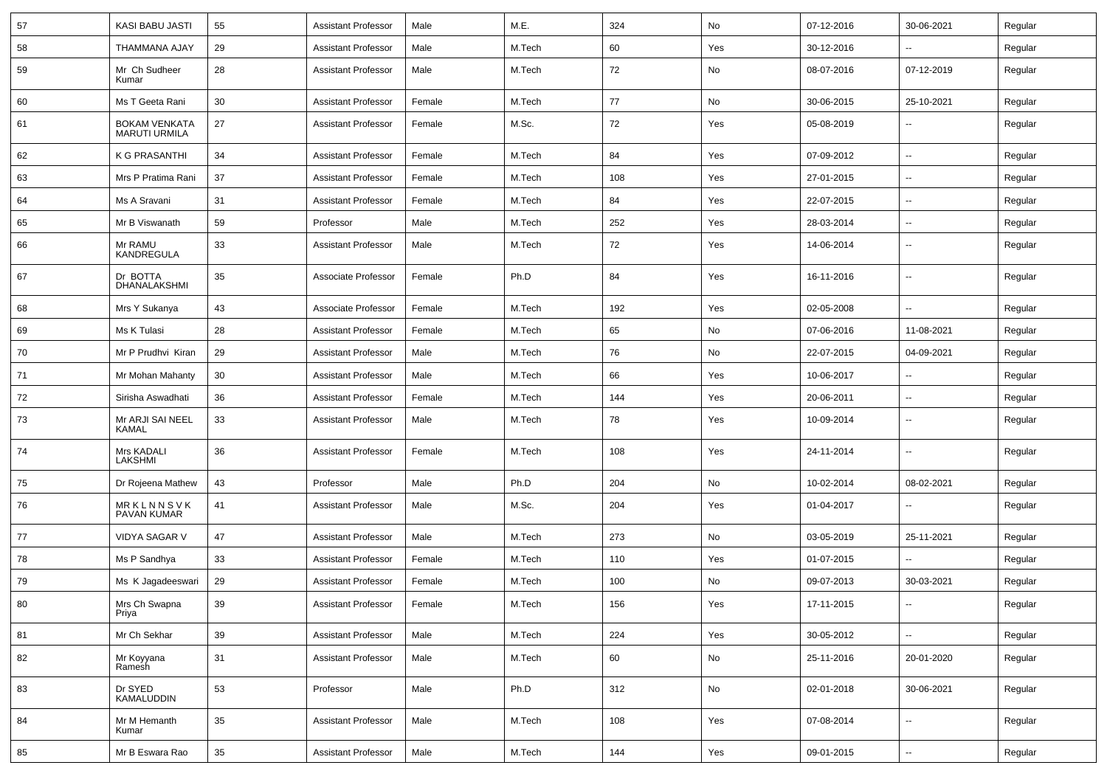| 57  | KASI BABU JASTI                | 55     | <b>Assistant Professor</b> | Male   | M.E.   | 324 | No  | 07-12-2016 | 30-06-2021               | Regular |
|-----|--------------------------------|--------|----------------------------|--------|--------|-----|-----|------------|--------------------------|---------|
| 58  | THAMMANA AJAY                  | 29     | <b>Assistant Professor</b> | Male   | M.Tech | 60  | Yes | 30-12-2016 |                          | Regular |
| 59  | Mr Ch Sudheer<br>Kumar         | 28     | <b>Assistant Professor</b> | Male   | M.Tech | 72  | No  | 08-07-2016 | 07-12-2019               | Regular |
| 60  | Ms T Geeta Rani                | 30     | <b>Assistant Professor</b> | Female | M.Tech | 77  | No  | 30-06-2015 | 25-10-2021               | Regular |
| 61  | BOKAM VENKATA<br>MARUTI URMILA | 27     | <b>Assistant Professor</b> | Female | M.Sc.  | 72  | Yes | 05-08-2019 | -−                       | Regular |
| 62  | K G PRASANTHI                  | 34     | <b>Assistant Professor</b> | Female | M.Tech | 84  | Yes | 07-09-2012 | $\overline{\phantom{a}}$ | Regular |
| 63  | Mrs P Pratima Rani             | 37     | <b>Assistant Professor</b> | Female | M.Tech | 108 | Yes | 27-01-2015 | --                       | Regular |
| 64  | Ms A Sravani                   | 31     | <b>Assistant Professor</b> | Female | M.Tech | 84  | Yes | 22-07-2015 | ⊷.                       | Regular |
| 65  | Mr B Viswanath                 | 59     | Professor                  | Male   | M.Tech | 252 | Yes | 28-03-2014 | ⊶.                       | Regular |
| 66  | Mr RAMU<br>KANDREGULA          | 33     | <b>Assistant Professor</b> | Male   | M.Tech | 72  | Yes | 14-06-2014 | --                       | Regular |
| 67  | Dr BOTTA<br>DHANALAKSHMI       | 35     | Associate Professor        | Female | Ph.D   | 84  | Yes | 16-11-2016 | ⊶.                       | Regular |
| 68  | Mrs Y Sukanya                  | 43     | Associate Professor        | Female | M.Tech | 192 | Yes | 02-05-2008 | --                       | Regular |
| 69  | Ms K Tulasi                    | 28     | <b>Assistant Professor</b> | Female | M.Tech | 65  | No  | 07-06-2016 | 11-08-2021               | Regular |
| 70  | Mr P Prudhvi Kiran             | 29     | <b>Assistant Professor</b> | Male   | M.Tech | 76  | No  | 22-07-2015 | 04-09-2021               | Regular |
| 71  | Mr Mohan Mahanty               | 30     | <b>Assistant Professor</b> | Male   | M.Tech | 66  | Yes | 10-06-2017 |                          | Regular |
| 72  | Sirisha Aswadhati              | 36     | <b>Assistant Professor</b> | Female | M.Tech | 144 | Yes | 20-06-2011 | ⊷.                       | Regular |
| -73 | Mr ARJI SAI NEEL<br>KAMAL      | 33     | <b>Assistant Professor</b> | Male   | M.Tech | 78  | Yes | 10-09-2014 | −−                       | Regular |
| 74  | <b>Mrs KADALI</b><br>LAKSHMI   | 36     | <b>Assistant Professor</b> | Female | M.Tech | 108 | Yes | 24-11-2014 | $\overline{\phantom{a}}$ | Regular |
| 75  | Dr Rojeena Mathew              | 43     | Professor                  | Male   | Ph.D   | 204 | No  | 10-02-2014 | 08-02-2021               | Regular |
| 76  | MRKLNNSVK<br>PAVAN KUMAR       | 41     | <b>Assistant Professor</b> | Male   | M.Sc.  | 204 | Yes | 01-04-2017 | --                       | Regular |
| 77  | <b>VIDYA SAGAR V</b>           | 47     | <b>Assistant Professor</b> | Male   | M.Tech | 273 | No  | 03-05-2019 | 25-11-2021               | Regular |
| 78  | Ms P Sandhya                   | 33     | <b>Assistant Professor</b> | Female | M.Tech | 110 | Yes | 01-07-2015 | --                       | Regular |
| 79  | Ms K Jagadeeswari              | 29     | <b>Assistant Professor</b> | Female | M.Tech | 100 | No  | 09-07-2013 | 30-03-2021               | Regular |
| 80  | Mrs Ch Swapna<br>Priya         | 39     | Assistant Professor        | Female | M.Tech | 156 | Yes | 17-11-2015 |                          | Regular |
| 81  | Mr Ch Sekhar                   | 39     | <b>Assistant Professor</b> | Male   | M.Tech | 224 | Yes | 30-05-2012 | ц,                       | Regular |
| 82  | Mr Koyyana<br>Ramesh           | 31     | <b>Assistant Professor</b> | Male   | M.Tech | 60  | No  | 25-11-2016 | 20-01-2020               | Regular |
| 83  | Dr SYED<br>KAMALUDDIN          | 53     | Professor                  | Male   | Ph.D   | 312 | No  | 02-01-2018 | 30-06-2021               | Regular |
| 84  | Mr M Hemanth<br>Kumar          | 35     | <b>Assistant Professor</b> | Male   | M.Tech | 108 | Yes | 07-08-2014 | Щ,                       | Regular |
| 85  | Mr B Eswara Rao                | $35\,$ | <b>Assistant Professor</b> | Male   | M.Tech | 144 | Yes | 09-01-2015 | ц,                       | Regular |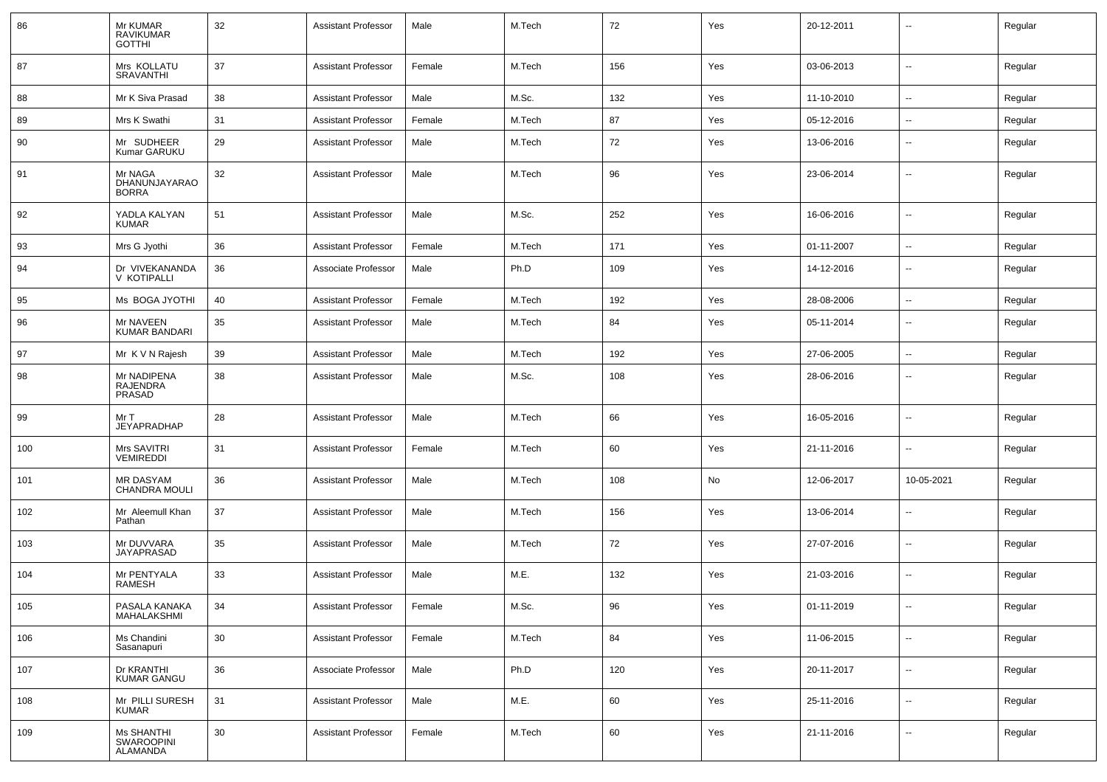| 86  | Mr KUMAR<br><b>RAVIKUMAR</b><br><b>GOTTHI</b> | 32 | Assistant Professor        | Male   | M.Tech | 72  | Yes | 20-12-2011 |                          | Regular |
|-----|-----------------------------------------------|----|----------------------------|--------|--------|-----|-----|------------|--------------------------|---------|
| 87  | Mrs KOLLATU<br>SRAVANTHI                      | 37 | <b>Assistant Professor</b> | Female | M.Tech | 156 | Yes | 03-06-2013 | $\mathbf{u}$             | Regular |
| 88  | Mr K Siva Prasad                              | 38 | <b>Assistant Professor</b> | Male   | M.Sc.  | 132 | Yes | 11-10-2010 | $\sim$                   | Regular |
| 89  | Mrs K Swathi                                  | 31 | Assistant Professor        | Female | M.Tech | 87  | Yes | 05-12-2016 | $\sim$                   | Regular |
| 90  | Mr SUDHEER<br>Kumar GARUKU                    | 29 | <b>Assistant Professor</b> | Male   | M.Tech | 72  | Yes | 13-06-2016 | $\overline{\phantom{a}}$ | Regular |
| 91  | Mr NAGA<br>DHANUNJAYARAO<br><b>BORRA</b>      | 32 | Assistant Professor        | Male   | M.Tech | 96  | Yes | 23-06-2014 | $\overline{a}$           | Regular |
| 92  | YADLA KALYAN<br><b>KUMAR</b>                  | 51 | <b>Assistant Professor</b> | Male   | M.Sc.  | 252 | Yes | 16-06-2016 | $\sim$                   | Regular |
| 93  | Mrs G Jyothi                                  | 36 | <b>Assistant Professor</b> | Female | M.Tech | 171 | Yes | 01-11-2007 | $\sim$                   | Regular |
| 94  | Dr VIVEKANANDA<br>V KOTIPALLI                 | 36 | Associate Professor        | Male   | Ph.D   | 109 | Yes | 14-12-2016 | $\overline{\phantom{a}}$ | Regular |
| 95  | Ms BOGA JYOTHI                                | 40 | <b>Assistant Professor</b> | Female | M.Tech | 192 | Yes | 28-08-2006 | $\overline{\phantom{a}}$ | Regular |
| 96  | Mr NAVEEN<br><b>KUMAR BANDARI</b>             | 35 | <b>Assistant Professor</b> | Male   | M.Tech | 84  | Yes | 05-11-2014 | $\overline{\phantom{a}}$ | Regular |
| 97  | Mr K V N Rajesh                               | 39 | <b>Assistant Professor</b> | Male   | M.Tech | 192 | Yes | 27-06-2005 | $\overline{\phantom{a}}$ | Regular |
| 98  | Mr NADIPENA<br><b>RAJENDRA</b><br>PRASAD      | 38 | <b>Assistant Professor</b> | Male   | M.Sc.  | 108 | Yes | 28-06-2016 | --                       | Regular |
| 99  | Mr T<br><b>JEYAPRADHAP</b>                    | 28 | <b>Assistant Professor</b> | Male   | M.Tech | 66  | Yes | 16-05-2016 | $\overline{\phantom{a}}$ | Regular |
| 100 | Mrs SAVITRI<br>VEMIREDDI                      | 31 | <b>Assistant Professor</b> | Female | M.Tech | 60  | Yes | 21-11-2016 | $\overline{\phantom{a}}$ | Regular |
| 101 | <b>MR DASYAM</b><br><b>CHANDRA MOULI</b>      | 36 | <b>Assistant Professor</b> | Male   | M.Tech | 108 | No  | 12-06-2017 | 10-05-2021               | Regular |
| 102 | Mr Aleemull Khan<br>Pathan                    | 37 | <b>Assistant Professor</b> | Male   | M.Tech | 156 | Yes | 13-06-2014 | $\overline{\phantom{a}}$ | Regular |
| 103 | Mr DUVVARA<br>JAYAPRASAD                      | 35 | Assistant Professor        | Male   | M.Tech | 72  | Yes | 27-07-2016 | $\overline{\phantom{a}}$ | Regular |
| 104 | Mr PENTYALA<br>RAMESH                         | 33 | <b>Assistant Professor</b> | Male   | M.E.   | 132 | Yes | 21-03-2016 | $\mathbf{u}$             | Regular |
| 105 | PASALA KANAKA<br>MAHALAKSHMI                  | 34 | Assistant Professor        | Female | M.Sc.  | 96  | Yes | 01-11-2019 | $\sim$                   | Regular |
| 106 | Ms Chandini<br>Sasanapuri                     | 30 | <b>Assistant Professor</b> | Female | M.Tech | 84  | Yes | 11-06-2015 | $\mathbf{u}$             | Regular |
| 107 | Dr KRANTHI<br>KUMAR GANGU                     | 36 | Associate Professor        | Male   | Ph.D   | 120 | Yes | 20-11-2017 | $\mathbf{u}$             | Regular |
| 108 | Mr PILLI SURESH<br><b>KUMAR</b>               | 31 | <b>Assistant Professor</b> | Male   | M.E.   | 60  | Yes | 25-11-2016 | $\mathbf{u}$             | Regular |
| 109 | Ms SHANTHI<br>SWAROOPINI<br>ALAMANDA          | 30 | <b>Assistant Professor</b> | Female | M.Tech | 60  | Yes | 21-11-2016 | $\overline{\phantom{a}}$ | Regular |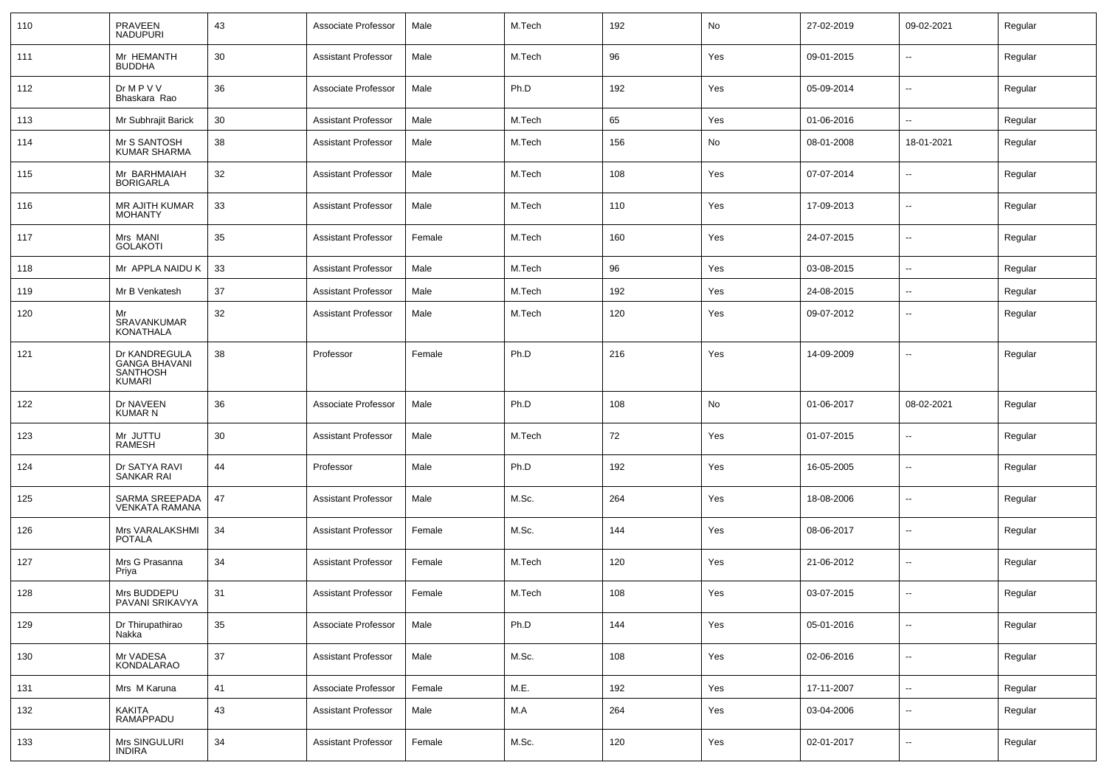| 110 | PRAVEEN<br><b>NADUPURI</b>                                                | 43     | Associate Professor        | Male   | M.Tech | 192 | No  | 27-02-2019 | 09-02-2021               | Regular |
|-----|---------------------------------------------------------------------------|--------|----------------------------|--------|--------|-----|-----|------------|--------------------------|---------|
| 111 | Mr HEMANTH<br><b>BUDDHA</b>                                               | 30     | <b>Assistant Professor</b> | Male   | M.Tech | 96  | Yes | 09-01-2015 | $\sim$                   | Regular |
| 112 | Dr M P V V<br>Bhaskara Rao                                                | 36     | Associate Professor        | Male   | Ph.D   | 192 | Yes | 05-09-2014 | $\sim$                   | Regular |
| 113 | Mr Subhrajit Barick                                                       | 30     | <b>Assistant Professor</b> | Male   | M.Tech | 65  | Yes | 01-06-2016 | $\sim$                   | Regular |
| 114 | Mr S SANTOSH<br><b>KUMAR SHARMA</b>                                       | 38     | <b>Assistant Professor</b> | Male   | M.Tech | 156 | No  | 08-01-2008 | 18-01-2021               | Regular |
| 115 | Mr BARHMAIAH<br><b>BORIGARLA</b>                                          | 32     | <b>Assistant Professor</b> | Male   | M.Tech | 108 | Yes | 07-07-2014 | $\mathbf{u}$             | Regular |
| 116 | <b>MR AJITH KUMAR</b><br><b>MOHANTY</b>                                   | 33     | <b>Assistant Professor</b> | Male   | M.Tech | 110 | Yes | 17-09-2013 | $\mathbf{u}$             | Regular |
| 117 | Mrs MANI<br><b>GOLAKOTI</b>                                               | 35     | Assistant Professor        | Female | M.Tech | 160 | Yes | 24-07-2015 | $\mathbf{u}$             | Regular |
| 118 | Mr APPLA NAIDU K                                                          | 33     | <b>Assistant Professor</b> | Male   | M.Tech | 96  | Yes | 03-08-2015 | $\mathbf{u}$             | Regular |
| 119 | Mr B Venkatesh                                                            | 37     | <b>Assistant Professor</b> | Male   | M.Tech | 192 | Yes | 24-08-2015 | $\overline{\phantom{a}}$ | Regular |
| 120 | Mr<br>SRAVANKUMAR<br><b>KONATHALA</b>                                     | 32     | <b>Assistant Professor</b> | Male   | M.Tech | 120 | Yes | 09-07-2012 | $\overline{\phantom{a}}$ | Regular |
| 121 | Dr KANDREGULA<br><b>GANGA BHAVANI</b><br><b>SANTHOSH</b><br><b>KUMARI</b> | 38     | Professor                  | Female | Ph.D   | 216 | Yes | 14-09-2009 | $\overline{\phantom{a}}$ | Regular |
| 122 | Dr NAVEEN                                                                 | 36     | Associate Professor        | Male   | Ph.D   | 108 | No  | 01-06-2017 | 08-02-2021               | Regular |
|     | <b>KUMAR N</b>                                                            |        |                            |        |        |     |     |            |                          |         |
| 123 | Mr JUTTU<br><b>RAMESH</b>                                                 | 30     | <b>Assistant Professor</b> | Male   | M.Tech | 72  | Yes | 01-07-2015 | $\sim$                   | Regular |
| 124 | Dr SATYA RAVI<br><b>SANKAR RAI</b>                                        | 44     | Professor                  | Male   | Ph.D   | 192 | Yes | 16-05-2005 | $\sim$                   | Regular |
| 125 | SARMA SREEPADA<br><b>VENKATA RAMANA</b>                                   | 47     | <b>Assistant Professor</b> | Male   | M.Sc.  | 264 | Yes | 18-08-2006 | $\sim$                   | Regular |
| 126 | Mrs VARALAKSHMI<br><b>POTALA</b>                                          | 34     | <b>Assistant Professor</b> | Female | M.Sc.  | 144 | Yes | 08-06-2017 | $\sim$                   | Regular |
| 127 | Mrs G Prasanna<br>Priya                                                   | 34     | <b>Assistant Professor</b> | Female | M.Tech | 120 | Yes | 21-06-2012 | $\sim$                   | Regular |
| 128 | Mrs BUDDEPU<br>PAVANI SRIKAVYA                                            | 31     | <b>Assistant Professor</b> | Female | M.Tech | 108 | Yes | 03-07-2015 | $\mathbf{u}$             | Regular |
| 129 | Dr Thirupathirao<br>Nakka                                                 | 35     | Associate Professor        | Male   | Ph.D   | 144 | Yes | 05-01-2016 | $\sim$                   | Regular |
| 130 | Mr VADESA<br>KONDALARAO                                                   | $37\,$ | <b>Assistant Professor</b> | Male   | M.Sc.  | 108 | Yes | 02-06-2016 | $\sim$                   | Regular |
| 131 | Mrs M Karuna                                                              | 41     | Associate Professor        | Female | M.E.   | 192 | Yes | 17-11-2007 | $\sim$                   | Regular |
| 132 | KAKITA<br>RAMAPPADU                                                       | 43     | <b>Assistant Professor</b> | Male   | M.A    | 264 | Yes | 03-04-2006 | $\sim$                   | Regular |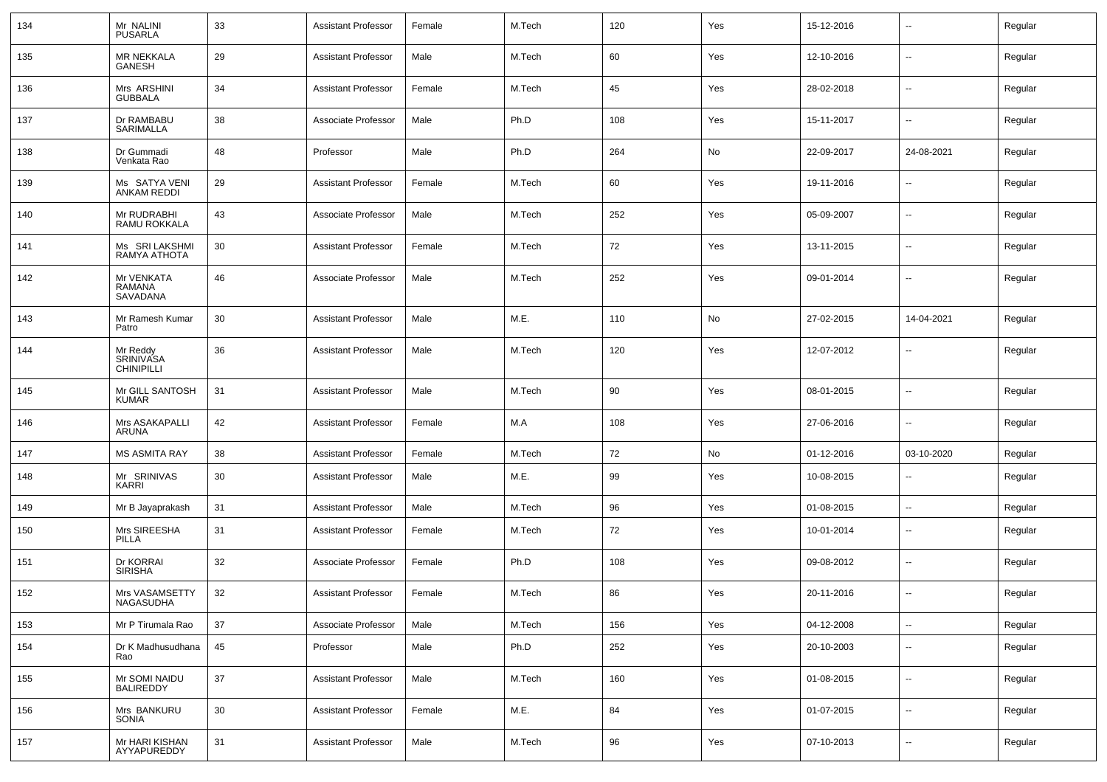| 134 | Mr NALINI<br><b>PUSARLA</b>                       | 33 | Assistant Professor        | Female | M.Tech | 120 | Yes | 15-12-2016 | $\overline{\phantom{a}}$ | Regular |
|-----|---------------------------------------------------|----|----------------------------|--------|--------|-----|-----|------------|--------------------------|---------|
| 135 | <b>MR NEKKALA</b><br>GANESH                       | 29 | Assistant Professor        | Male   | M.Tech | 60  | Yes | 12-10-2016 | $\sim$                   | Regular |
| 136 | Mrs ARSHINI<br><b>GUBBALA</b>                     | 34 | Assistant Professor        | Female | M.Tech | 45  | Yes | 28-02-2018 | $\sim$                   | Regular |
| 137 | Dr RAMBABU<br>SARIMALLA                           | 38 | Associate Professor        | Male   | Ph.D   | 108 | Yes | 15-11-2017 | $\sim$                   | Regular |
| 138 | Dr Gummadi<br>Venkata Rao                         | 48 | Professor                  | Male   | Ph.D   | 264 | No  | 22-09-2017 | 24-08-2021               | Regular |
| 139 | Ms SATYA VENI<br><b>ANKAM REDDI</b>               | 29 | Assistant Professor        | Female | M.Tech | 60  | Yes | 19-11-2016 | $\overline{\phantom{a}}$ | Regular |
| 140 | Mr RUDRABHI<br>RAMU ROKKALA                       | 43 | Associate Professor        | Male   | M.Tech | 252 | Yes | 05-09-2007 | $\sim$                   | Regular |
| 141 | Ms SRI LAKSHMI<br>RAMYA ATHOTA                    | 30 | Assistant Professor        | Female | M.Tech | 72  | Yes | 13-11-2015 | $\sim$                   | Regular |
| 142 | Mr VENKATA<br>RAMANA<br>SAVADANA                  | 46 | Associate Professor        | Male   | M.Tech | 252 | Yes | 09-01-2014 | $\mathbf{u}$             | Regular |
| 143 | Mr Ramesh Kumar<br>Patro                          | 30 | <b>Assistant Professor</b> | Male   | M.E.   | 110 | No  | 27-02-2015 | 14-04-2021               | Regular |
| 144 | Mr Reddy<br><b>SRINIVASA</b><br><b>CHINIPILLI</b> | 36 | <b>Assistant Professor</b> | Male   | M.Tech | 120 | Yes | 12-07-2012 | $\overline{\phantom{a}}$ | Regular |
| 145 | Mr GILL SANTOSH<br><b>KUMAR</b>                   | 31 | <b>Assistant Professor</b> | Male   | M.Tech | 90  | Yes | 08-01-2015 | $\mathbf{u}$             | Regular |
| 146 | Mrs ASAKAPALLI<br>ARUNA                           | 42 | <b>Assistant Professor</b> | Female | M.A    | 108 | Yes | 27-06-2016 | $\sim$                   | Regular |
| 147 | <b>MS ASMITA RAY</b>                              | 38 | <b>Assistant Professor</b> | Female | M.Tech | 72  | No  | 01-12-2016 | 03-10-2020               | Regular |
| 148 | Mr SRINIVAS<br>KARRI                              | 30 | <b>Assistant Professor</b> | Male   | M.E.   | 99  | Yes | 10-08-2015 | $\sim$                   | Regular |
| 149 | Mr B Jayaprakash                                  | 31 | <b>Assistant Professor</b> | Male   | M.Tech | 96  | Yes | 01-08-2015 | $\sim$                   | Regular |
| 150 | Mrs SIREESHA<br><b>PILLA</b>                      | 31 | Assistant Professor        | Female | M.Tech | 72  | Yes | 10-01-2014 | $\sim$                   | Regular |
| 151 | Dr KORRAI<br><b>SIRISHA</b>                       | 32 | Associate Professor        | Female | Ph.D   | 108 | Yes | 09-08-2012 | $\sim$                   | Regular |
| 152 | Mrs VASAMSETTY<br>NAGASUDHA                       | 32 | <b>Assistant Professor</b> | Female | M.Tech | 86  | Yes | 20-11-2016 | $\mathbf{u}$             | Regular |
| 153 | Mr P Tirumala Rao                                 | 37 | Associate Professor        | Male   | M.Tech | 156 | Yes | 04-12-2008 | $\sim$                   | Regular |
| 154 | Dr K Madhusudhana<br>Rao                          | 45 | Professor                  | Male   | Ph.D   | 252 | Yes | 20-10-2003 | $\sim$                   | Regular |
| 155 | Mr SOMI NAIDU<br>BALIREDDY                        | 37 | <b>Assistant Professor</b> | Male   | M.Tech | 160 | Yes | 01-08-2015 | $\sim$                   | Regular |
| 156 | Mrs BANKURU<br>SONIA                              | 30 | <b>Assistant Professor</b> | Female | M.E.   | 84  | Yes | 01-07-2015 | $\sim$                   | Regular |
| 157 | Mr HARI KISHAN<br>AYYAPUREDDY                     | 31 | <b>Assistant Professor</b> | Male   | M.Tech | 96  | Yes | 07-10-2013 | $\sim$                   | Regular |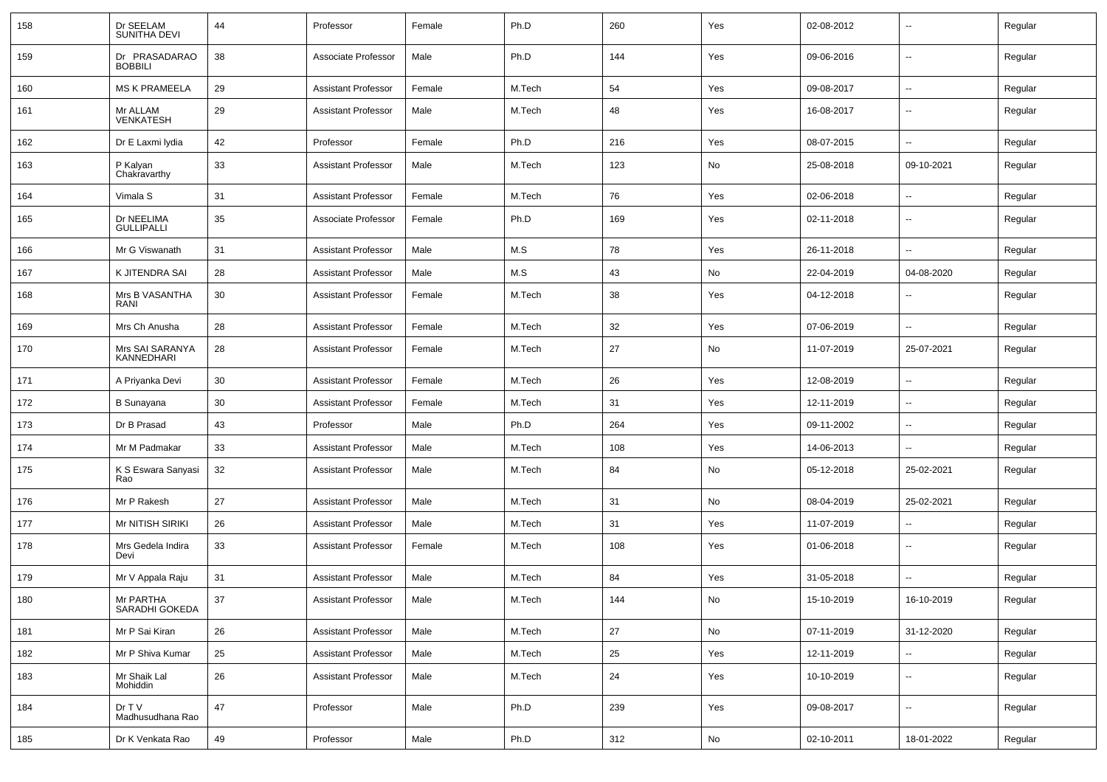| 158 | Dr SEELAM<br>SUNITHA DEVI       | 44 | Professor                  | Female | Ph.D   | 260 | Yes | 02-08-2012 | $\overline{\phantom{a}}$ | Regular |
|-----|---------------------------------|----|----------------------------|--------|--------|-----|-----|------------|--------------------------|---------|
| 159 | Dr PRASADARAO<br><b>BOBBILI</b> | 38 | Associate Professor        | Male   | Ph.D   | 144 | Yes | 09-06-2016 | $\sim$                   | Regular |
| 160 | <b>MS K PRAMEELA</b>            | 29 | <b>Assistant Professor</b> | Female | M.Tech | 54  | Yes | 09-08-2017 | ⊷.                       | Regular |
| 161 | Mr ALLAM<br><b>VENKATESH</b>    | 29 | <b>Assistant Professor</b> | Male   | M.Tech | 48  | Yes | 16-08-2017 | --                       | Regular |
| 162 | Dr E Laxmi Iydia                | 42 | Professor                  | Female | Ph.D   | 216 | Yes | 08-07-2015 | $\sim$                   | Regular |
| 163 | P Kalyan<br>Chakravarthy        | 33 | <b>Assistant Professor</b> | Male   | M.Tech | 123 | No  | 25-08-2018 | 09-10-2021               | Regular |
| 164 | Vimala S                        | 31 | <b>Assistant Professor</b> | Female | M.Tech | 76  | Yes | 02-06-2018 | $\overline{\phantom{a}}$ | Regular |
| 165 | Dr NEELIMA<br><b>GULLIPALLI</b> | 35 | Associate Professor        | Female | Ph.D   | 169 | Yes | 02-11-2018 | $\overline{\phantom{a}}$ | Regular |
| 166 | Mr G Viswanath                  | 31 | <b>Assistant Professor</b> | Male   | M.S    | 78  | Yes | 26-11-2018 | --                       | Regular |
| 167 | K JITENDRA SAI                  | 28 | <b>Assistant Professor</b> | Male   | M.S    | 43  | No  | 22-04-2019 | 04-08-2020               | Regular |
| 168 | Mrs B VASANTHA<br>RANI          | 30 | <b>Assistant Professor</b> | Female | M.Tech | 38  | Yes | 04-12-2018 | $\overline{\phantom{a}}$ | Regular |
| 169 | Mrs Ch Anusha                   | 28 | <b>Assistant Professor</b> | Female | M.Tech | 32  | Yes | 07-06-2019 | $\overline{\phantom{a}}$ | Regular |
| 170 | Mrs SAI SARANYA<br>KANNEDHARI   | 28 | <b>Assistant Professor</b> | Female | M.Tech | 27  | No  | 11-07-2019 | 25-07-2021               | Regular |
| 171 | A Priyanka Devi                 | 30 | <b>Assistant Professor</b> | Female | M.Tech | 26  | Yes | 12-08-2019 | ⊷.                       | Regular |
| 172 | <b>B</b> Sunayana               | 30 | <b>Assistant Professor</b> | Female | M.Tech | 31  | Yes | 12-11-2019 | --                       | Regular |
| 173 | Dr B Prasad                     | 43 | Professor                  | Male   | Ph.D   | 264 | Yes | 09-11-2002 | $\overline{\phantom{a}}$ | Regular |
| 174 | Mr M Padmakar                   | 33 | <b>Assistant Professor</b> | Male   | M.Tech | 108 | Yes | 14-06-2013 | $\overline{\phantom{a}}$ | Regular |
| 175 | K S Eswara Sanyasi<br>Rao       | 32 | <b>Assistant Professor</b> | Male   | M.Tech | 84  | No  | 05-12-2018 | 25-02-2021               | Regular |
| 176 | Mr P Rakesh                     | 27 | <b>Assistant Professor</b> | Male   | M.Tech | 31  | No  | 08-04-2019 | 25-02-2021               | Regular |
| 177 | Mr NITISH SIRIKI                | 26 | <b>Assistant Professor</b> | Male   | M.Tech | 31  | Yes | 11-07-2019 | $\overline{\phantom{a}}$ | Regular |
| 178 | Mrs Gedela Indira<br>Devi       | 33 | <b>Assistant Professor</b> | Female | M.Tech | 108 | Yes | 01-06-2018 | $\sim$                   | Regular |
| 179 | Mr V Appala Raju                | 31 | <b>Assistant Professor</b> | Male   | M.Tech | 84  | Yes | 31-05-2018 | -−                       | Regular |
| 180 | Mr PARTHA<br>SARADHI GOKEDA     | 37 | <b>Assistant Professor</b> | Male   | M.Tech | 144 | No  | 15-10-2019 | 16-10-2019               | Regular |
| 181 | Mr P Sai Kiran                  | 26 | <b>Assistant Professor</b> | Male   | M.Tech | 27  | No  | 07-11-2019 | 31-12-2020               | Regular |
| 182 | Mr P Shiva Kumar                | 25 | <b>Assistant Professor</b> | Male   | M.Tech | 25  | Yes | 12-11-2019 | $\overline{\phantom{a}}$ | Regular |
| 183 | Mr Shaik Lal<br>Mohiddin        | 26 | Assistant Professor        | Male   | M.Tech | 24  | Yes | 10-10-2019 | $\sim$                   | Regular |
| 184 | Dr T V<br>Madhusudhana Rao      | 47 | Professor                  | Male   | Ph.D   | 239 | Yes | 09-08-2017 | $\overline{\phantom{a}}$ | Regular |
| 185 | Dr K Venkata Rao                | 49 | Professor                  | Male   | Ph.D   | 312 | No  | 02-10-2011 | 18-01-2022               | Regular |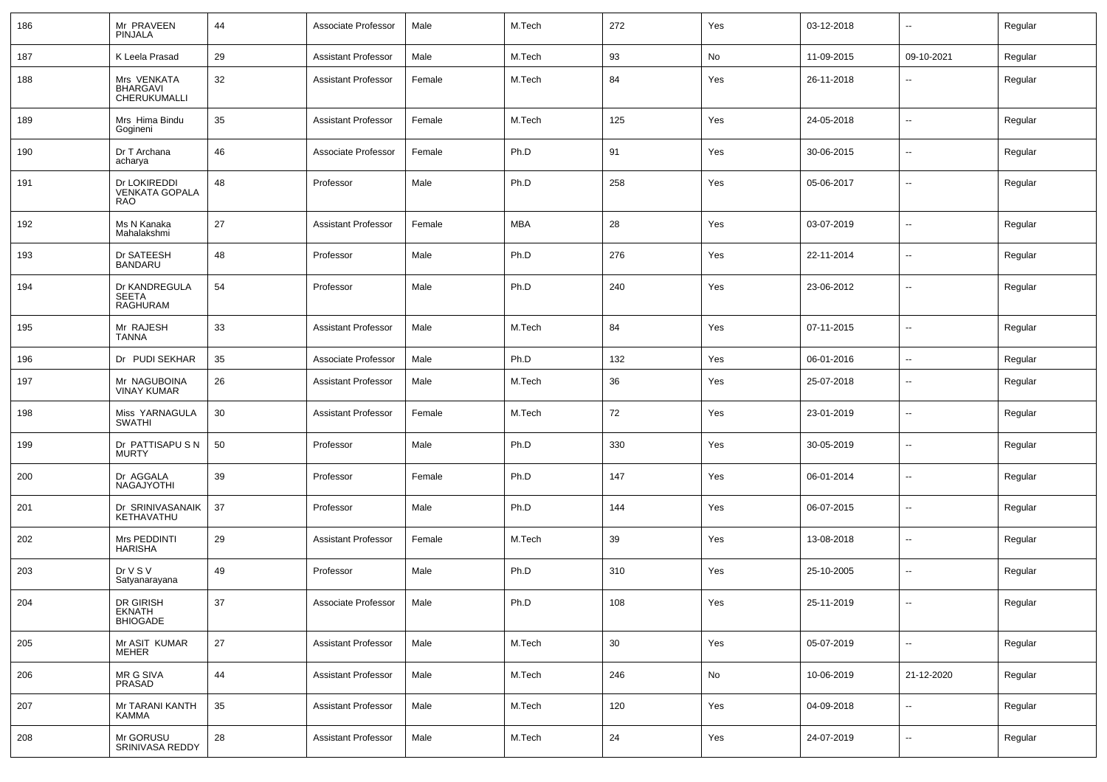| 186 | Mr PRAVEEN<br><b>PINJALA</b>                        | 44     | Associate Professor        | Male   | M.Tech     | 272    | Yes | 03-12-2018 | $\mathbf{u}$             | Regular |
|-----|-----------------------------------------------------|--------|----------------------------|--------|------------|--------|-----|------------|--------------------------|---------|
| 187 | K Leela Prasad                                      | 29     | <b>Assistant Professor</b> | Male   | M.Tech     | 93     | No  | 11-09-2015 | 09-10-2021               | Regular |
| 188 | Mrs VENKATA<br>BHARGAVI<br>CHERUKUMALLI             | 32     | Assistant Professor        | Female | M.Tech     | 84     | Yes | 26-11-2018 | --                       | Regular |
| 189 | Mrs Hima Bindu<br>Gogineni                          | 35     | <b>Assistant Professor</b> | Female | M.Tech     | 125    | Yes | 24-05-2018 | $\sim$                   | Regular |
| 190 | Dr T Archana<br>acharya                             | 46     | Associate Professor        | Female | Ph.D       | 91     | Yes | 30-06-2015 | $\sim$                   | Regular |
| 191 | Dr LOKIREDDI<br><b>VENKATA GOPALA</b><br><b>RAO</b> | 48     | Professor                  | Male   | Ph.D       | 258    | Yes | 05-06-2017 | $\sim$                   | Regular |
| 192 | Ms N Kanaka<br>Mahalakshmi                          | 27     | <b>Assistant Professor</b> | Female | <b>MBA</b> | 28     | Yes | 03-07-2019 | $\sim$                   | Regular |
| 193 | Dr SATEESH<br><b>BANDARU</b>                        | 48     | Professor                  | Male   | Ph.D       | 276    | Yes | 22-11-2014 | $\mathbf{u}$             | Regular |
| 194 | Dr KANDREGULA<br>SEETA<br>RAGHURAM                  | 54     | Professor                  | Male   | Ph.D       | 240    | Yes | 23-06-2012 | $\mathbf{u}$             | Regular |
| 195 | Mr RAJESH<br><b>TANNA</b>                           | 33     | <b>Assistant Professor</b> | Male   | M.Tech     | 84     | Yes | 07-11-2015 | $\overline{\phantom{a}}$ | Regular |
| 196 | Dr PUDI SEKHAR                                      | 35     | Associate Professor        | Male   | Ph.D       | 132    | Yes | 06-01-2016 | $\mathbf{u}$             | Regular |
| 197 | Mr NAGUBOINA<br><b>VINAY KUMAR</b>                  | 26     | <b>Assistant Professor</b> | Male   | M.Tech     | 36     | Yes | 25-07-2018 | $\overline{\phantom{a}}$ | Regular |
| 198 | Miss YARNAGULA<br><b>SWATHI</b>                     | 30     | <b>Assistant Professor</b> | Female | M.Tech     | 72     | Yes | 23-01-2019 | $\mathbf{u}$             | Regular |
| 199 | Dr PATTISAPU S N<br><b>MURTY</b>                    | 50     | Professor                  | Male   | Ph.D       | 330    | Yes | 30-05-2019 | $\mathbf{u}$             | Regular |
| 200 | Dr AGGALA<br>NAGAJYOTHI                             | 39     | Professor                  | Female | Ph.D       | 147    | Yes | 06-01-2014 | $\mathbf{u}$             | Regular |
| 201 | Dr SRINIVASANAIK<br>KETHAVATHU                      | 37     | Professor                  | Male   | Ph.D       | 144    | Yes | 06-07-2015 | $\mathbf{u}$             | Regular |
| 202 | Mrs PEDDINTI<br><b>HARISHA</b>                      | 29     | <b>Assistant Professor</b> | Female | M.Tech     | 39     | Yes | 13-08-2018 | $\mathbf{u}$             | Regular |
| 203 | Dr V S V<br>Satyanarayana                           | 49     | Professor                  | Male   | Ph.D       | 310    | Yes | 25-10-2005 | $\mathbf{u}$             | Regular |
| 204 | DR GIRISH<br>EKNATH<br>BHIOGADE                     | 37     | Associate Professor        | Male   | Ph.D       | 108    | Yes | 25-11-2019 |                          | Regular |
| 205 | Mr ASIT KUMAR<br><b>MEHER</b>                       | 27     | <b>Assistant Professor</b> | Male   | M.Tech     | $30\,$ | Yes | 05-07-2019 | ÷.                       | Regular |
| 206 | MR G SIVA<br>PRASAD                                 | 44     | <b>Assistant Professor</b> | Male   | M.Tech     | 246    | No  | 10-06-2019 | 21-12-2020               | Regular |
| 207 | Mr TARANI KANTH<br>KAMMA                            | $35\,$ | <b>Assistant Professor</b> | Male   | M.Tech     | 120    | Yes | 04-09-2018 | $\mathbf{r}$             | Regular |
| 208 | Mr GORUSU<br>SRINIVASA REDDY                        | 28     | <b>Assistant Professor</b> | Male   | M.Tech     | 24     | Yes | 24-07-2019 | $\overline{\phantom{a}}$ | Regular |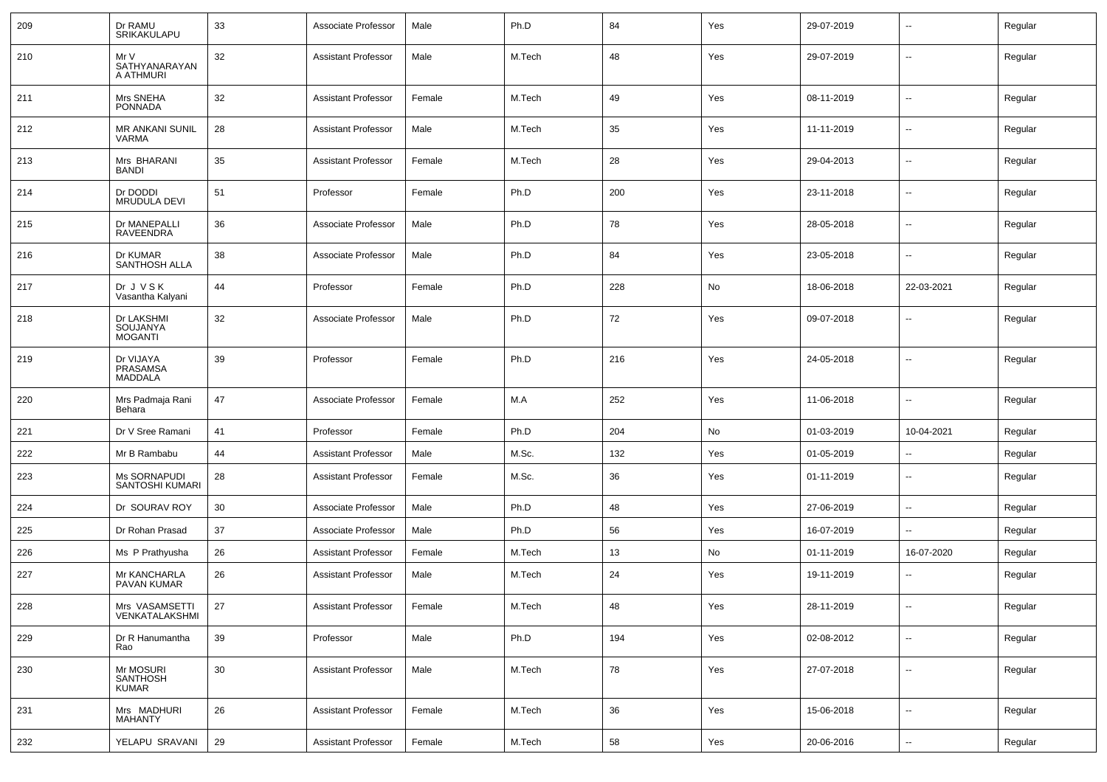| 209 | Dr RAMU<br>SRIKAKULAPU                   | 33 | Associate Professor        | Male                           | Ph.D   | 84  | Yes | 29-07-2019 | $\overline{\phantom{a}}$ | Regular |
|-----|------------------------------------------|----|----------------------------|--------------------------------|--------|-----|-----|------------|--------------------------|---------|
| 210 | Mr V<br>SATHYANARAYAN<br>A ATHMURI       | 32 | <b>Assistant Professor</b> | Male                           | M.Tech | 48  | Yes | 29-07-2019 | $\mathbf{u}$             | Regular |
| 211 | Mrs SNEHA<br><b>PONNADA</b>              | 32 | <b>Assistant Professor</b> | Female                         | M.Tech | 49  | Yes | 08-11-2019 | $\overline{\phantom{a}}$ | Regular |
| 212 | <b>MR ANKANI SUNIL</b><br>VARMA          | 28 | <b>Assistant Professor</b> | Male                           | M.Tech | 35  | Yes | 11-11-2019 | $\sim$                   | Regular |
| 213 | Mrs BHARANI<br><b>BANDI</b>              | 35 | <b>Assistant Professor</b> | Female                         | M.Tech | 28  | Yes | 29-04-2013 | $\overline{\phantom{a}}$ | Regular |
| 214 | Dr DODDI<br><b>MRUDULA DEVI</b>          | 51 | Professor                  | Female                         | Ph.D   | 200 | Yes | 23-11-2018 | $\sim$                   | Regular |
| 215 | Dr MANEPALLI<br>RAVEENDRA                | 36 | Associate Professor        | Male                           | Ph.D   | 78  | Yes | 28-05-2018 | $\sim$                   | Regular |
| 216 | Dr KUMAR<br>SANTHOSH ALLA                | 38 | Associate Professor        | Male                           | Ph.D   | 84  | Yes | 23-05-2018 | $\mathbf{u}$             | Regular |
| 217 | Dr J V S K<br>Vasantha Kalyani           | 44 | Professor                  | Female                         | Ph.D   | 228 | No  | 18-06-2018 | 22-03-2021               | Regular |
| 218 | Dr LAKSHMI<br>SOUJANYA<br><b>MOGANTI</b> | 32 | Associate Professor        | Male                           | Ph.D   | 72  | Yes | 09-07-2018 | $\overline{\phantom{a}}$ | Regular |
| 219 | Dr VIJAYA<br>PRASAMSA<br><b>MADDALA</b>  | 39 | Professor                  | Female                         | Ph.D   | 216 | Yes | 24-05-2018 | $\mathbf{u}$             | Regular |
| 220 | Mrs Padmaja Rani<br>Behara               | 47 | Associate Professor        | Female                         | M.A    | 252 | Yes | 11-06-2018 | $\overline{\phantom{a}}$ | Regular |
| 221 | Dr V Sree Ramani                         | 41 | Professor                  | Female                         | Ph.D   | 204 | No  | 01-03-2019 | 10-04-2021               | Regular |
| 222 | Mr B Rambabu                             | 44 | <b>Assistant Professor</b> | Male                           | M.Sc.  | 132 | Yes | 01-05-2019 |                          | Regular |
| 223 | Ms SORNAPUDI<br>SANTOSHI KUMARI          | 28 | <b>Assistant Professor</b> | Female                         | M.Sc.  | 36  | Yes | 01-11-2019 | $\sim$                   | Regular |
| 224 | Dr SOURAV ROY                            | 30 | Associate Professor        | Male                           | Ph.D   | 48  | Yes | 27-06-2019 | $\sim$                   | Regular |
| 225 | Dr Rohan Prasad                          | 37 | Associate Professor        | Male                           | Ph.D   | 56  | Yes | 16-07-2019 | $\sim$                   | Regular |
| 226 | Ms P Prathyusha                          | 26 | <b>Assistant Professor</b> | Female                         | M.Tech | 13  | No  | 01-11-2019 | 16-07-2020               | Regular |
| 227 | Mr KANCHARLA<br>PAVAN KUMAR              | 26 | <b>Assistant Professor</b> | Male                           | M.Tech | 24  | Yes | 19-11-2019 | $\overline{\phantom{a}}$ | Regular |
| 228 | Mrs VASAMSETTI<br>VENKATALAKSHMI         | 27 | Assistant Professor        | $\ensuremath{\mathsf{Female}}$ | M.Tech | 48  | Yes | 28-11-2019 | $\sim$                   | Regular |
| 229 | Dr R Hanumantha<br>Rao                   | 39 | Professor                  | Male                           | Ph.D   | 194 | Yes | 02-08-2012 | $\sim$                   | Regular |
| 230 | Mr MOSURI<br>SANTHOSH<br>KUMAR           | 30 | <b>Assistant Professor</b> | Male                           | M.Tech | 78  | Yes | 27-07-2018 | $\sim$                   | Regular |
| 231 | Mrs MADHURI<br><b>MAHANTY</b>            | 26 | <b>Assistant Professor</b> | Female                         | M.Tech | 36  | Yes | 15-06-2018 | $\sim$                   | Regular |
| 232 | YELAPU SRAVANI                           | 29 | <b>Assistant Professor</b> | Female                         | M.Tech | 58  | Yes | 20-06-2016 | $\sim$                   | Regular |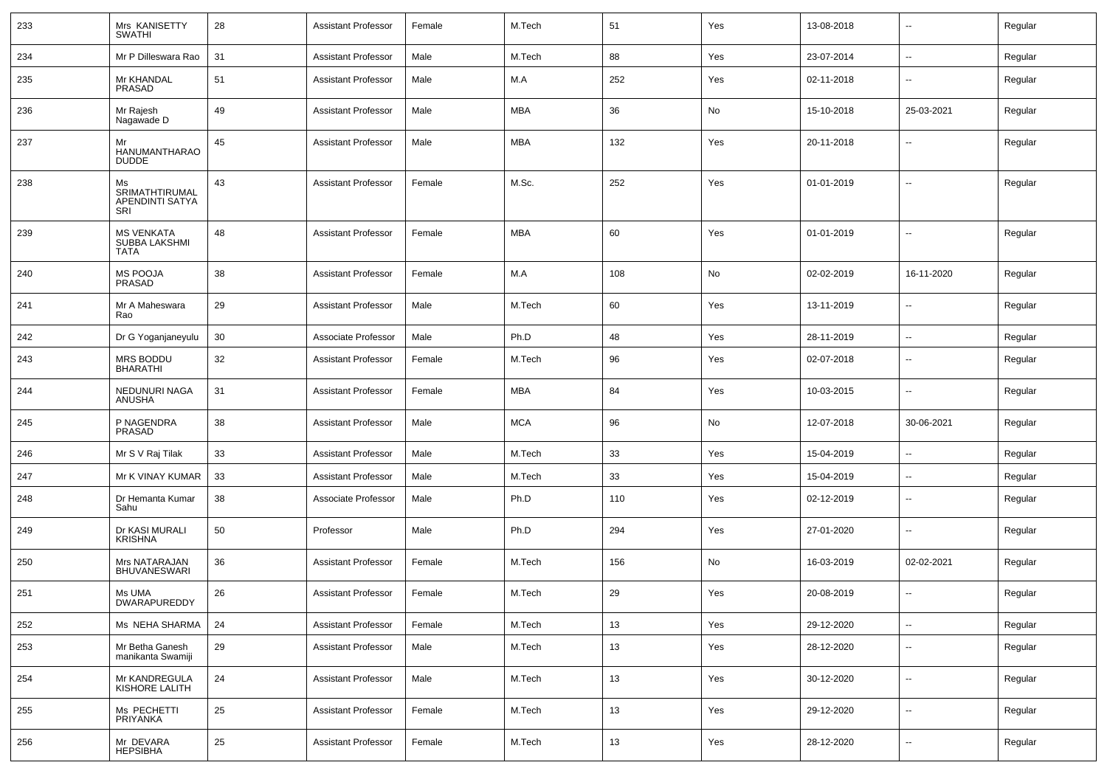| 233 | Mrs KANISETTY<br><b>SWATHI</b>                    | 28 | <b>Assistant Professor</b> | Female | M.Tech     | 51  | Yes | 13-08-2018 | $\overline{\phantom{a}}$ | Regular |
|-----|---------------------------------------------------|----|----------------------------|--------|------------|-----|-----|------------|--------------------------|---------|
| 234 | Mr P Dilleswara Rao                               | 31 | <b>Assistant Professor</b> | Male   | M.Tech     | 88  | Yes | 23-07-2014 | $\sim$                   | Regular |
| 235 | Mr KHANDAL<br>PRASAD                              | 51 | <b>Assistant Professor</b> | Male   | M.A        | 252 | Yes | 02-11-2018 | $\overline{\phantom{a}}$ | Regular |
| 236 | Mr Rajesh<br>Nagawade D                           | 49 | <b>Assistant Professor</b> | Male   | <b>MBA</b> | 36  | No  | 15-10-2018 | 25-03-2021               | Regular |
| 237 | Mr<br><b>HANUMANTHARAO</b><br><b>DUDDE</b>        | 45 | <b>Assistant Professor</b> | Male   | <b>MBA</b> | 132 | Yes | 20-11-2018 | --                       | Regular |
| 238 | Ms<br>SRIMATHTIRUMAL<br>APENDINTI SATYA<br>SRI    | 43 | <b>Assistant Professor</b> | Female | M.Sc.      | 252 | Yes | 01-01-2019 | $\overline{\phantom{a}}$ | Regular |
| 239 | <b>MS VENKATA</b><br>SUBBA LAKSHMI<br><b>TATA</b> | 48 | <b>Assistant Professor</b> | Female | <b>MBA</b> | 60  | Yes | 01-01-2019 | --                       | Regular |
| 240 | <b>MS POOJA</b><br>PRASAD                         | 38 | <b>Assistant Professor</b> | Female | M.A        | 108 | No  | 02-02-2019 | 16-11-2020               | Regular |
| 241 | Mr A Maheswara<br>Rao                             | 29 | <b>Assistant Professor</b> | Male   | M.Tech     | 60  | Yes | 13-11-2019 | $\overline{\phantom{a}}$ | Regular |
| 242 | Dr G Yoganjaneyulu                                | 30 | Associate Professor        | Male   | Ph.D       | 48  | Yes | 28-11-2019 | $\overline{\phantom{a}}$ | Regular |
| 243 | MRS BODDU<br><b>BHARATHI</b>                      | 32 | <b>Assistant Professor</b> | Female | M.Tech     | 96  | Yes | 02-07-2018 | --                       | Regular |
| 244 | NEDUNURI NAGA<br>ANUSHA                           | 31 | <b>Assistant Professor</b> | Female | <b>MBA</b> | 84  | Yes | 10-03-2015 | --                       | Regular |
| 245 | P NAGENDRA<br>PRASAD                              | 38 | <b>Assistant Professor</b> | Male   | <b>MCA</b> | 96  | No  | 12-07-2018 | 30-06-2021               | Regular |
| 246 | Mr S V Raj Tilak                                  | 33 | <b>Assistant Professor</b> | Male   | M.Tech     | 33  | Yes | 15-04-2019 | --                       | Regular |
| 247 | Mr K VINAY KUMAR                                  | 33 | <b>Assistant Professor</b> | Male   | M.Tech     | 33  | Yes | 15-04-2019 | $\mathbf{u}$             | Regular |
| 248 | Dr Hemanta Kumar<br>Sahu                          | 38 | Associate Professor        | Male   | Ph.D       | 110 | Yes | 02-12-2019 | $\sim$                   | Regular |
| 249 | Dr KASI MURALI<br><b>KRISHNA</b>                  | 50 | Professor                  | Male   | Ph.D       | 294 | Yes | 27-01-2020 | $\sim$                   | Regular |
| 250 | Mrs NATARAJAN<br><b>BHUVANESWARI</b>              | 36 | <b>Assistant Professor</b> | Female | M.Tech     | 156 | No  | 16-03-2019 | 02-02-2021               | Regular |
| 251 | Ms UMA<br><b>DWARAPUREDDY</b>                     | 26 | <b>Assistant Professor</b> | Female | M.Tech     | 29  | Yes | 20-08-2019 | $\mathbf{u}$             | Regular |
| 252 | Ms NEHA SHARMA                                    | 24 | <b>Assistant Professor</b> | Female | M.Tech     | 13  | Yes | 29-12-2020 | $\sim$                   | Regular |
| 253 | Mr Betha Ganesh<br>manikanta Swamiji              | 29 | Assistant Professor        | Male   | M.Tech     | 13  | Yes | 28-12-2020 | $\overline{\phantom{a}}$ | Regular |
| 254 | Mr KANDREGULA<br>KISHORE LALITH                   | 24 | <b>Assistant Professor</b> | Male   | M.Tech     | 13  | Yes | 30-12-2020 | $\overline{\phantom{a}}$ | Regular |
| 255 | Ms PECHETTI<br><b>PRIYANKA</b>                    | 25 | <b>Assistant Professor</b> | Female | M.Tech     | 13  | Yes | 29-12-2020 | $\overline{\phantom{a}}$ | Regular |
| 256 | Mr DEVARA<br>HEPSIBHA                             | 25 | <b>Assistant Professor</b> | Female | M.Tech     | 13  | Yes | 28-12-2020 | --                       | Regular |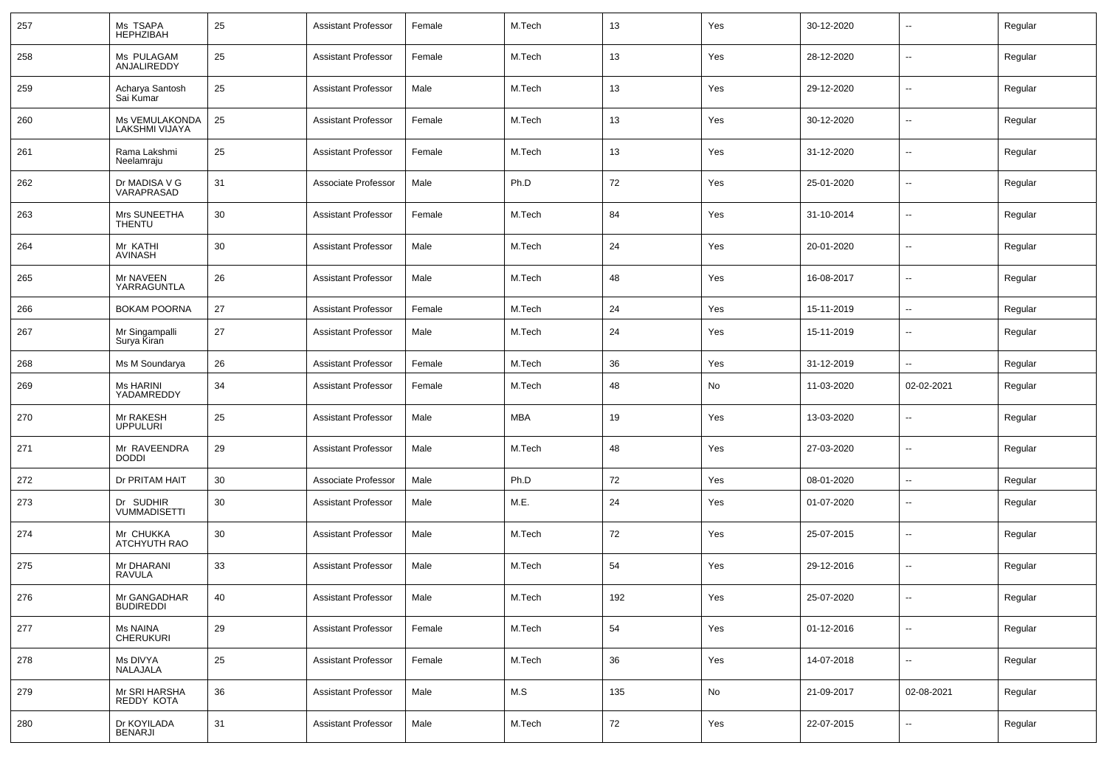| 257 | Ms TSAPA<br>HEPHZIBAH            | 25 | <b>Assistant Professor</b> | Female | M.Tech     | 13  | Yes | 30-12-2020 |                          | Regular |
|-----|----------------------------------|----|----------------------------|--------|------------|-----|-----|------------|--------------------------|---------|
| 258 | Ms PULAGAM<br>ANJALIREDDY        | 25 | <b>Assistant Professor</b> | Female | M.Tech     | 13  | Yes | 28-12-2020 | --                       | Regular |
| 259 | Acharya Santosh<br>Sai Kumar     | 25 | <b>Assistant Professor</b> | Male   | M.Tech     | 13  | Yes | 29-12-2020 | Ξ.                       | Regular |
| 260 | Ms VEMULAKONDA<br>LAKSHMI VIJAYA | 25 | <b>Assistant Professor</b> | Female | M.Tech     | 13  | Yes | 30-12-2020 | --                       | Regular |
| 261 | Rama Lakshmi<br>Neelamraju       | 25 | <b>Assistant Professor</b> | Female | M.Tech     | 13  | Yes | 31-12-2020 | Ξ.                       | Regular |
| 262 | Dr MADISA V G<br>VARAPRASAD      | 31 | Associate Professor        | Male   | Ph.D       | 72  | Yes | 25-01-2020 | --                       | Regular |
| 263 | Mrs SUNEETHA<br><b>THENTU</b>    | 30 | <b>Assistant Professor</b> | Female | M.Tech     | 84  | Yes | 31-10-2014 | Ξ.                       | Regular |
| 264 | Mr KATHI<br>AVINASH              | 30 | <b>Assistant Professor</b> | Male   | M.Tech     | 24  | Yes | 20-01-2020 | --                       | Regular |
| 265 | Mr NAVEEN<br>YARRAGUNTLA         | 26 | <b>Assistant Professor</b> | Male   | M.Tech     | 48  | Yes | 16-08-2017 | Ξ.                       | Regular |
| 266 | <b>BOKAM POORNA</b>              | 27 | <b>Assistant Professor</b> | Female | M.Tech     | 24  | Yes | 15-11-2019 | --                       | Regular |
| 267 | Mr Singampalli<br>Surva Kiran    | 27 | <b>Assistant Professor</b> | Male   | M.Tech     | 24  | Yes | 15-11-2019 | Ξ.                       | Regular |
| 268 | Ms M Soundarya                   | 26 | <b>Assistant Professor</b> | Female | M.Tech     | 36  | Yes | 31-12-2019 | --                       | Regular |
| 269 | Ms HARINI<br>YADAMREDDY          | 34 | <b>Assistant Professor</b> | Female | M.Tech     | 48  | No  | 11-03-2020 | 02-02-2021               | Regular |
| 270 | Mr RAKESH<br><b>UPPULURI</b>     | 25 | <b>Assistant Professor</b> | Male   | <b>MBA</b> | 19  | Yes | 13-03-2020 | --                       | Regular |
| 271 | Mr RAVEENDRA<br><b>DODDI</b>     | 29 | <b>Assistant Professor</b> | Male   | M.Tech     | 48  | Yes | 27-03-2020 | --                       | Regular |
| 272 | Dr PRITAM HAIT                   | 30 | Associate Professor        | Male   | Ph.D       | 72  | Yes | 08-01-2020 | $\overline{\phantom{a}}$ | Regular |
| 273 | Dr SUDHIR<br><b>VUMMADISETTI</b> | 30 | <b>Assistant Professor</b> | Male   | M.E.       | 24  | Yes | 01-07-2020 | --                       | Regular |
| 274 | Mr CHUKKA<br>ATCHYUTH RAO        | 30 | <b>Assistant Professor</b> | Male   | M.Tech     | 72  | Yes | 25-07-2015 | --                       | Regular |
| 275 | Mr DHARANI<br><b>RAVULA</b>      | 33 | <b>Assistant Professor</b> | Male   | M.Tech     | 54  | Yes | 29-12-2016 | --                       | Regular |
| 276 | Mr GANGADHAR<br><b>BUDIKEDDI</b> | 40 | <b>Assistant Professor</b> | Male   | M.Tech     | 192 | Yes | 25-07-2020 | --                       | Regular |
| 277 | Ms NAINA<br>CHERUKURI            | 29 | <b>Assistant Professor</b> | Female | M.Tech     | 54  | Yes | 01-12-2016 | Ξ.                       | Regular |
| 278 | Ms DIVYA<br>NALAJALA             | 25 | <b>Assistant Professor</b> | Female | M.Tech     | 36  | Yes | 14-07-2018 | --                       | Regular |
| 279 | Mr SRI HARSHA<br>REDDY KOTA      | 36 | <b>Assistant Professor</b> | Male   | M.S        | 135 | No  | 21-09-2017 | 02-08-2021               | Regular |
| 280 | Dr KOYILADA<br><b>BENARJI</b>    | 31 | <b>Assistant Professor</b> | Male   | M.Tech     | 72  | Yes | 22-07-2015 | --                       | Regular |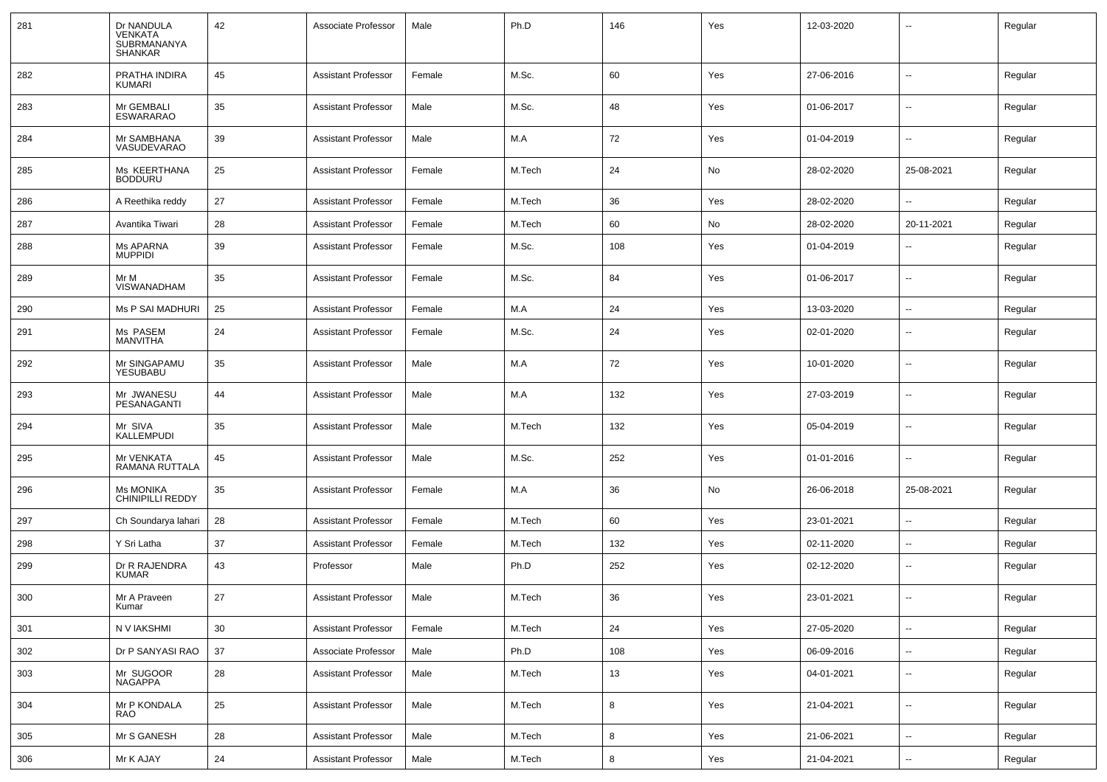| 281 | Dr NANDULA<br>VENKATA<br>SUBRMANANYA<br><b>SHANKAR</b> | 42 | Associate Professor        | Male   | Ph.D   | 146 | Yes | 12-03-2020 | $\overline{\phantom{a}}$ | Regular |
|-----|--------------------------------------------------------|----|----------------------------|--------|--------|-----|-----|------------|--------------------------|---------|
| 282 | PRATHA INDIRA<br>KUMARI                                | 45 | <b>Assistant Professor</b> | Female | M.Sc.  | 60  | Yes | 27-06-2016 | $\overline{\phantom{a}}$ | Regular |
| 283 | Mr GEMBALI<br><b>ESWARARAO</b>                         | 35 | <b>Assistant Professor</b> | Male   | M.Sc.  | 48  | Yes | 01-06-2017 | $\overline{a}$           | Regular |
| 284 | Mr SAMBHANA<br>VASUDEVARAO                             | 39 | <b>Assistant Professor</b> | Male   | M.A    | 72  | Yes | 01-04-2019 | --                       | Regular |
| 285 | Ms KEERTHANA<br><b>BODDURU</b>                         | 25 | <b>Assistant Professor</b> | Female | M.Tech | 24  | No  | 28-02-2020 | 25-08-2021               | Regular |
| 286 | A Reethika reddy                                       | 27 | Assistant Professor        | Female | M.Tech | 36  | Yes | 28-02-2020 |                          | Regular |
| 287 | Avantika Tiwari                                        | 28 | <b>Assistant Professor</b> | Female | M.Tech | 60  | No  | 28-02-2020 | 20-11-2021               | Regular |
| 288 | Ms APARNA<br><b>MUPPIDI</b>                            | 39 | Assistant Professor        | Female | M.Sc.  | 108 | Yes | 01-04-2019 | $\overline{\phantom{a}}$ | Regular |
| 289 | Mr M<br>VISWANADHAM                                    | 35 | Assistant Professor        | Female | M.Sc.  | 84  | Yes | 01-06-2017 | $\sim$                   | Regular |
| 290 | Ms P SAI MADHURI                                       | 25 | Assistant Professor        | Female | M.A    | 24  | Yes | 13-03-2020 | $\sim$                   | Regular |
| 291 | Ms PASEM<br><b>MANVITHA</b>                            | 24 | Assistant Professor        | Female | M.Sc.  | 24  | Yes | 02-01-2020 | --                       | Regular |
| 292 | Mr SINGAPAMU<br>YESUBABU                               | 35 | Assistant Professor        | Male   | M.A    | 72  | Yes | 10-01-2020 | --                       | Regular |
| 293 | Mr JWANESU<br>PESANAGANTI                              | 44 | Assistant Professor        | Male   | M.A    | 132 | Yes | 27-03-2019 | --                       | Regular |
| 294 | Mr SIVA<br><b>KALLEMPUDI</b>                           | 35 | Assistant Professor        | Male   | M.Tech | 132 | Yes | 05-04-2019 | --                       | Regular |
| 295 | Mr VENKATA<br>RAMANA RUTTALA                           | 45 | <b>Assistant Professor</b> | Male   | M.Sc.  | 252 | Yes | 01-01-2016 | --                       | Regular |
| 296 | <b>Ms MONIKA</b><br><b>CHINIPILLI REDDY</b>            | 35 | Assistant Professor        | Female | M.A    | 36  | No  | 26-06-2018 | 25-08-2021               | Regular |
| 297 | Ch Soundarya lahari                                    | 28 | Assistant Professor        | Female | M.Tech | 60  | Yes | 23-01-2021 | $\overline{\phantom{a}}$ | Regular |
| 298 | Y Sri Latha                                            | 37 | <b>Assistant Professor</b> | Female | M.Tech | 132 | Yes | 02-11-2020 | $\overline{\phantom{a}}$ | Regular |
| 299 | Dr R RAJENDRA<br>KUMAR                                 | 43 | Professor                  | Male   | Ph.D   | 252 | Yes | 02-12-2020 | $\overline{\phantom{a}}$ | Regular |
| 300 | Mr A Praveen<br>Kumar                                  | 27 | <b>Assistant Professor</b> | Male   | M.Tech | 36  | Yes | 23-01-2021 | $\overline{\phantom{a}}$ | Regular |
| 301 | N V IAKSHMI                                            | 30 | <b>Assistant Professor</b> | Female | M.Tech | 24  | Yes | 27-05-2020 | $\sim$                   | Regular |
| 302 | Dr P SANYASI RAO                                       | 37 | Associate Professor        | Male   | Ph.D   | 108 | Yes | 06-09-2016 | $\mathbf{u}$             | Regular |
| 303 | Mr SUGOOR<br>NAGAPPA                                   | 28 | <b>Assistant Professor</b> | Male   | M.Tech | 13  | Yes | 04-01-2021 | $\sim$                   | Regular |
| 304 | Mr P KONDALA<br>RAO                                    | 25 | <b>Assistant Professor</b> | Male   | M.Tech | 8   | Yes | 21-04-2021 | $\sim$                   | Regular |
| 305 | Mr S GANESH                                            | 28 | <b>Assistant Professor</b> | Male   | M.Tech | 8   | Yes | 21-06-2021 | $\sim$                   | Regular |
| 306 | Mr K AJAY                                              | 24 | <b>Assistant Professor</b> | Male   | M.Tech | 8   | Yes | 21-04-2021 | $\sim$                   | Regular |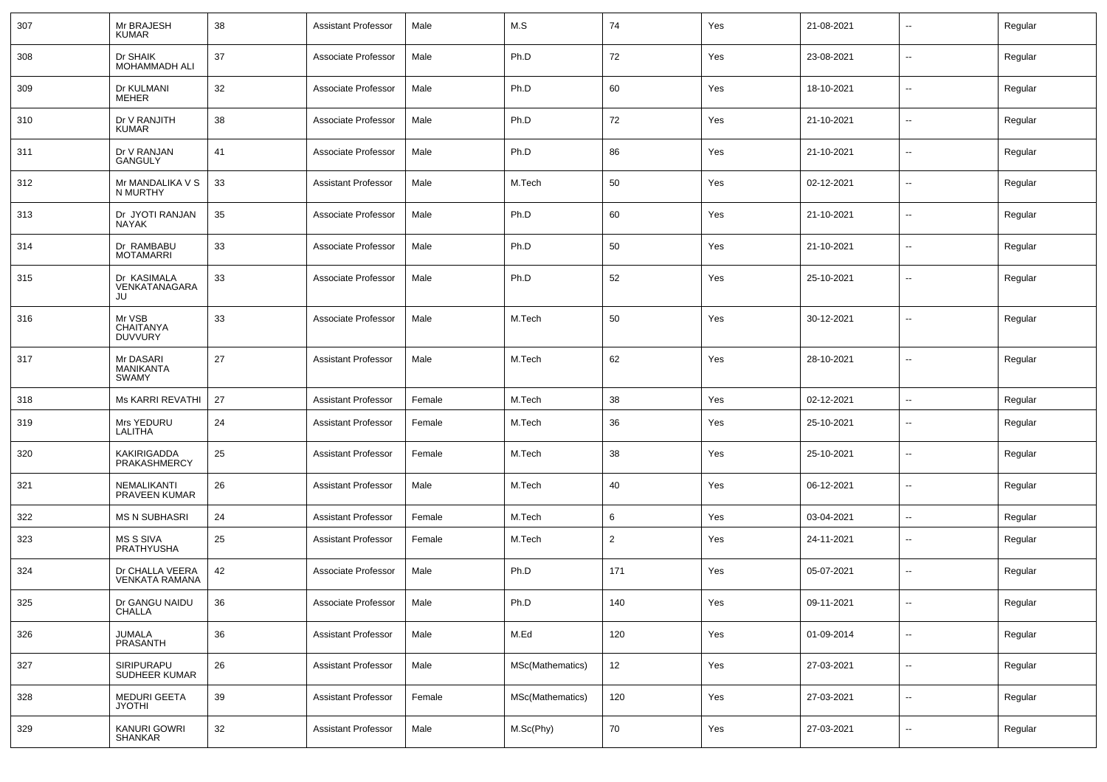| 307 | Mr BRAJESH<br><b>KUMAR</b>                    | 38 | <b>Assistant Professor</b> | Male   | M.S              | 74             | Yes | 21-08-2021 | $\overline{\phantom{a}}$ | Regular |
|-----|-----------------------------------------------|----|----------------------------|--------|------------------|----------------|-----|------------|--------------------------|---------|
| 308 | Dr SHAIK<br>MOHAMMADH ALI                     | 37 | Associate Professor        | Male   | Ph.D             | 72             | Yes | 23-08-2021 | $\sim$                   | Regular |
| 309 | Dr KULMANI<br><b>MEHER</b>                    | 32 | Associate Professor        | Male   | Ph.D             | 60             | Yes | 18-10-2021 | $\sim$                   | Regular |
| 310 | Dr V RANJITH<br><b>KUMAR</b>                  | 38 | Associate Professor        | Male   | Ph.D             | 72             | Yes | 21-10-2021 | $\sim$                   | Regular |
| 311 | Dr V RANJAN<br><b>GANGULY</b>                 | 41 | Associate Professor        | Male   | Ph.D             | 86             | Yes | 21-10-2021 | $\sim$                   | Regular |
| 312 | Mr MANDALIKA V S<br>N MURTHY                  | 33 | <b>Assistant Professor</b> | Male   | M.Tech           | 50             | Yes | 02-12-2021 | $\sim$                   | Regular |
| 313 | Dr JYOTI RANJAN<br><b>NAYAK</b>               | 35 | Associate Professor        | Male   | Ph.D             | 60             | Yes | 21-10-2021 | $\sim$                   | Regular |
| 314 | Dr RAMBABU<br><b>MOTAMARRI</b>                | 33 | Associate Professor        | Male   | Ph.D             | 50             | Yes | 21-10-2021 | $\sim$                   | Regular |
| 315 | Dr KASIMALA<br>VENKATANAGARA<br>JU            | 33 | Associate Professor        | Male   | Ph.D             | 52             | Yes | 25-10-2021 | $\mathbf{u}$             | Regular |
| 316 | Mr VSB<br><b>CHAITANYA</b><br><b>DUVVURY</b>  | 33 | Associate Professor        | Male   | M.Tech           | 50             | Yes | 30-12-2021 | --                       | Regular |
| 317 | Mr DASARI<br><b>MANIKANTA</b><br><b>SWAMY</b> | 27 | <b>Assistant Professor</b> | Male   | M.Tech           | 62             | Yes | 28-10-2021 | $\mathbf{u}$             | Regular |
| 318 | <b>Ms KARRI REVATHI</b>                       | 27 | <b>Assistant Professor</b> | Female | M.Tech           | 38             | Yes | 02-12-2021 | $\mathbf{u}$             | Regular |
| 319 | Mrs YEDURU<br>LALITHA                         | 24 | <b>Assistant Professor</b> | Female | M.Tech           | 36             | Yes | 25-10-2021 | $\overline{a}$           | Regular |
| 320 | KAKIRIGADDA<br>PRAKASHMERCY                   | 25 | <b>Assistant Professor</b> | Female | M.Tech           | 38             | Yes | 25-10-2021 | $\mathbf{u}$             | Regular |
| 321 | NEMALIKANTI<br>PRAVEEN KUMAR                  | 26 | <b>Assistant Professor</b> | Male   | M.Tech           | 40             | Yes | 06-12-2021 | $\overline{a}$           | Regular |
| 322 | <b>MS N SUBHASRI</b>                          | 24 | <b>Assistant Professor</b> | Female | M.Tech           | 6              | Yes | 03-04-2021 | $\mathbf{u}$             | Regular |
| 323 | <b>MS S SIVA</b><br>PRATHYUSHA                | 25 | <b>Assistant Professor</b> | Female | M.Tech           | $\overline{2}$ | Yes | 24-11-2021 | $\mathbf{u}$             | Regular |
| 324 | Dr CHALLA VEERA<br>VENKATA RAMANA             | 42 | Associate Professor        | Male   | Ph.D             | 171            | Yes | 05-07-2021 | $\mathbf{u}$             | Regular |
| 325 | Dr GANGU NAIDU<br>CHALLA                      | 36 | Associate Professor        | Male   | Ph.D             | 140            | Yes | 09-11-2021 |                          | Regular |
| 326 | JUMALA<br>PRASANTH                            | 36 | Assistant Professor        | Male   | M.Ed             | 120            | Yes | 01-09-2014 | $\sim$                   | Regular |
| 327 | SIRIPURAPU<br>SUDHEER KUMAR                   | 26 | <b>Assistant Professor</b> | Male   | MSc(Mathematics) | 12             | Yes | 27-03-2021 | $\sim$                   | Regular |
| 328 | MEDURI GEETA<br><b>JYOTHI</b>                 | 39 | Assistant Professor        | Female | MSc(Mathematics) | 120            | Yes | 27-03-2021 | $\sim$                   | Regular |
| 329 | KANURI GOWRI<br>SHANKAR                       | 32 | <b>Assistant Professor</b> | Male   | M.Sc(Phy)        | 70             | Yes | 27-03-2021 | $\sim$                   | Regular |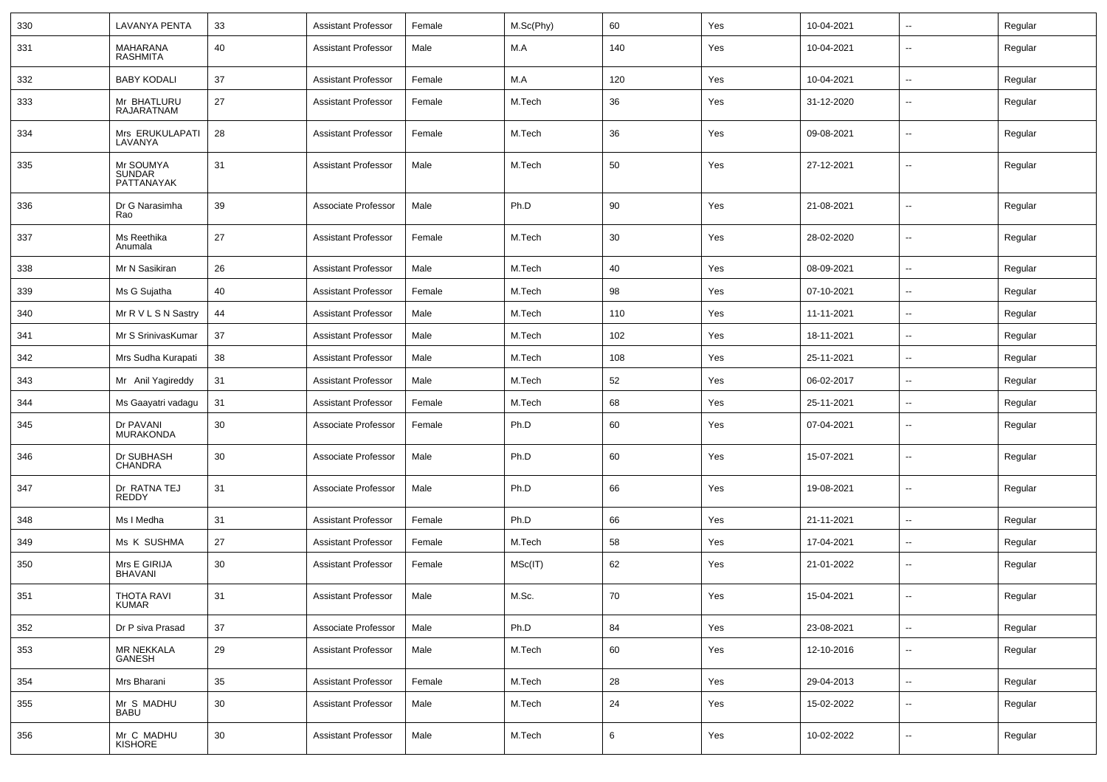| 330 | LAVANYA PENTA                            | 33 | Assistant Professor        | Female | M.Sc(Phy) | 60  | Yes | 10-04-2021 | $\overline{\phantom{a}}$ | Regular |
|-----|------------------------------------------|----|----------------------------|--------|-----------|-----|-----|------------|--------------------------|---------|
| 331 | MAHARANA<br><b>RASHMITA</b>              | 40 | <b>Assistant Professor</b> | Male   | M.A       | 140 | Yes | 10-04-2021 | --                       | Regular |
| 332 | <b>BABY KODALI</b>                       | 37 | <b>Assistant Professor</b> | Female | M.A       | 120 | Yes | 10-04-2021 | $\overline{\phantom{a}}$ | Regular |
| 333 | Mr BHATLURU<br><b>RAJARATNAM</b>         | 27 | <b>Assistant Professor</b> | Female | M.Tech    | 36  | Yes | 31-12-2020 | --                       | Regular |
| 334 | Mrs ERUKULAPATI<br>LAVANYA               | 28 | <b>Assistant Professor</b> | Female | M.Tech    | 36  | Yes | 09-08-2021 | --                       | Regular |
| 335 | Mr SOUMYA<br><b>SUNDAR</b><br>PATTANAYAK | 31 | <b>Assistant Professor</b> | Male   | M.Tech    | 50  | Yes | 27-12-2021 | --                       | Regular |
| 336 | Dr G Narasimha<br>Rao                    | 39 | Associate Professor        | Male   | Ph.D      | 90  | Yes | 21-08-2021 | --                       | Regular |
| 337 | Ms Reethika<br>Anumala                   | 27 | <b>Assistant Professor</b> | Female | M.Tech    | 30  | Yes | 28-02-2020 | --                       | Regular |
| 338 | Mr N Sasikiran                           | 26 | <b>Assistant Professor</b> | Male   | M.Tech    | 40  | Yes | 08-09-2021 | $\overline{\phantom{a}}$ | Regular |
| 339 | Ms G Sujatha                             | 40 | <b>Assistant Professor</b> | Female | M.Tech    | 98  | Yes | 07-10-2021 | --                       | Regular |
| 340 | Mr R V L S N Sastry                      | 44 | <b>Assistant Professor</b> | Male   | M.Tech    | 110 | Yes | 11-11-2021 | --                       | Regular |
| 341 | Mr S SrinivasKumar                       | 37 | <b>Assistant Professor</b> | Male   | M.Tech    | 102 | Yes | 18-11-2021 | $\overline{a}$           | Regular |
| 342 | Mrs Sudha Kurapati                       | 38 | <b>Assistant Professor</b> | Male   | M.Tech    | 108 | Yes | 25-11-2021 | $\overline{\phantom{a}}$ | Regular |
| 343 | Mr Anil Yagireddy                        | 31 | <b>Assistant Professor</b> | Male   | M.Tech    | 52  | Yes | 06-02-2017 | $\overline{\phantom{a}}$ | Regular |
| 344 | Ms Gaayatri vadagu                       | 31 | <b>Assistant Professor</b> | Female | M.Tech    | 68  | Yes | 25-11-2021 | --                       | Regular |
| 345 | Dr PAVANI<br><b>MURAKONDA</b>            | 30 | Associate Professor        | Female | Ph.D      | 60  | Yes | 07-04-2021 | --                       | Regular |
| 346 | Dr SUBHASH<br><b>CHANDRA</b>             | 30 | Associate Professor        | Male   | Ph.D      | 60  | Yes | 15-07-2021 | --                       | Regular |
| 347 | Dr RATNA TEJ<br>REDDY                    | 31 | Associate Professor        | Male   | Ph.D      | 66  | Yes | 19-08-2021 | --                       | Regular |
| 348 | Ms I Medha                               | 31 | <b>Assistant Professor</b> | Female | Ph.D      | 66  | Yes | 21-11-2021 | --                       | Regular |
| 349 | Ms K SUSHMA                              | 27 | <b>Assistant Professor</b> | Female | M.Tech    | 58  | Yes | 17-04-2021 | --                       | Regular |
| 350 | Mrs E GIRIJA<br>BHAVANI                  | 30 | <b>Assistant Professor</b> | Female | MSc(IT)   | 62  | Yes | 21-01-2022 | --                       | Regular |
| 351 | <b>THOTA RAVI</b><br><b>KUMAR</b>        | 31 | <b>Assistant Professor</b> | Male   | M.Sc.     | 70  | Yes | 15-04-2021 | --                       | Regular |
| 352 | Dr P siva Prasad                         | 37 | Associate Professor        | Male   | Ph.D      | 84  | Yes | 23-08-2021 | ц.                       | Regular |
| 353 | MR NEKKALA<br>GANESH                     | 29 | <b>Assistant Professor</b> | Male   | M.Tech    | 60  | Yes | 12-10-2016 | $\sim$                   | Regular |
| 354 | Mrs Bharani                              | 35 | <b>Assistant Professor</b> | Female | M.Tech    | 28  | Yes | 29-04-2013 | н.                       | Regular |
| 355 | Mr S MADHU<br><b>BABU</b>                | 30 | <b>Assistant Professor</b> | Male   | M.Tech    | 24  | Yes | 15-02-2022 | $\sim$                   | Regular |
| 356 | Mr C MADHU<br>KISHORE                    | 30 | <b>Assistant Professor</b> | Male   | M.Tech    | 6   | Yes | 10-02-2022 | н.                       | Regular |